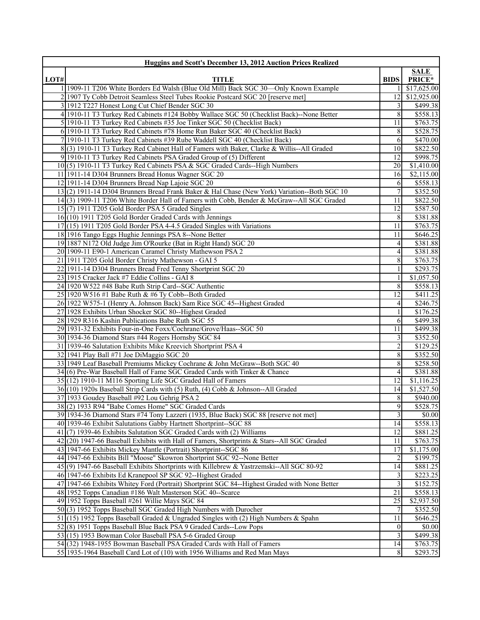|      | Huggins and Scott's December 13, 2012 Auction Prices Realized                                 |                  |                      |  |
|------|-----------------------------------------------------------------------------------------------|------------------|----------------------|--|
|      |                                                                                               |                  | <b>SALE</b>          |  |
| LOT# | <b>TITLE</b>                                                                                  | <b>BIDS</b>      | PRICE*               |  |
|      | 1 1909-11 T206 White Borders Ed Walsh (Blue Old Mill) Back SGC 30-Only Known Example          |                  | \$17,625.00          |  |
|      | 2 1907 Ty Cobb Detroit Seamless Steel Tubes Rookie Postcard SGC 20 [reserve met]              | 12               | \$12,925.00          |  |
|      | 3 1912 T227 Honest Long Cut Chief Bender SGC 30                                               | 3                | \$499.38             |  |
|      | 4 1910-11 T3 Turkey Red Cabinets #124 Bobby Wallace SGC 50 (Checklist Back)--None Better      | 8                | \$558.13             |  |
|      | 5 1910-11 T3 Turkey Red Cabinets #35 Joe Tinker SGC 50 (Checklist Back)                       | 11               | \$763.75             |  |
|      | 6 1910-11 T3 Turkey Red Cabinets #78 Home Run Baker SGC 40 (Checklist Back)                   | 8                | \$528.75             |  |
|      | 7 1910-11 T3 Turkey Red Cabinets #39 Rube Waddell SGC 40 (Checklist Back)                     | 6                | \$470.00             |  |
|      | 8(3) 1910-11 T3 Turkey Red Cabinet Hall of Famers with Baker, Clarke & Willis--All Graded     | 10               | \$822.50             |  |
|      | 9 1910-11 T3 Turkey Red Cabinets PSA Graded Group of (5) Different                            | 12               | \$998.75             |  |
|      | 10(5) 1910-11 T3 Turkey Red Cabinets PSA & SGC Graded Cards--High Numbers                     | 20               | \$1,410.00           |  |
|      | 11 1911-14 D304 Brunners Bread Honus Wagner SGC 20                                            | 16               | \$2,115.00           |  |
|      | 12 1911-14 D304 Brunners Bread Nap Lajoie SGC 20                                              | 6                | \$558.13             |  |
|      | 13(2) 1911-14 D304 Brunners Bread Frank Baker & Hal Chase (New York) Variation--Both SGC 10   | $\tau$           | \$352.50             |  |
|      | 14(3) 1909-11 T206 White Border Hall of Famers with Cobb, Bender & McGraw--All SGC Graded     | 11               | \$822.50             |  |
|      | 15(7) 1911 T205 Gold Border PSA 5 Graded Singles                                              | 12               | \$587.50             |  |
|      | 16(10) 1911 T205 Gold Border Graded Cards with Jennings                                       | 8                | \$381.88             |  |
|      | 17(15) 1911 T205 Gold Border PSA 4-4.5 Graded Singles with Variations                         | 11               | \$763.75             |  |
|      | 18 1916 Tango Eggs Hughie Jennings PSA 8--None Better                                         | 11               | \$646.25             |  |
|      | 19 1887 N172 Old Judge Jim O'Rourke (Bat in Right Hand) SGC 20                                | $\frac{4}{3}$    | \$381.88             |  |
|      | 20 1909-11 E90-1 American Caramel Christy Mathewson PSA 2                                     | 4                | \$381.88             |  |
|      | 21 1911 T205 Gold Border Christy Mathewson - GAI 5                                            | 8                | \$763.75             |  |
|      | 22 1911-14 D304 Brunners Bread Fred Tenny Shortprint SGC 20                                   | 1                | \$293.75             |  |
|      | 23 1915 Cracker Jack #7 Eddie Collins - GAI 8                                                 |                  | \$1,057.50           |  |
|      | 24 1920 W522 #48 Babe Ruth Strip Card--SGC Authentic                                          | 8                | \$558.13             |  |
|      | 25 1920 W516 #1 Babe Ruth & #6 Ty Cobb--Both Graded                                           | 12               | \$411.25             |  |
|      | 26 1922 W575-1 (Henry A. Johnson Back) Sam Rice SGC 45--Highest Graded                        | 4                | \$246.75             |  |
|      | 27 1928 Exhibits Urban Shocker SGC 80--Highest Graded                                         |                  | \$176.25             |  |
|      | 28 1929 R316 Kashin Publications Babe Ruth SGC 55                                             | 6                | $\overline{$499.38}$ |  |
|      | 29 1931-32 Exhibits Four-in-One Foxx/Cochrane/Grove/Haas--SGC 50                              | 11               | \$499.38             |  |
|      | 30 1934-36 Diamond Stars #44 Rogers Hornsby SGC 84                                            | 3                | \$352.50             |  |
|      | 31 1939-46 Salutation Exhibits Mike Kreevich Shortprint PSA 4                                 | 2                | \$129.25             |  |
|      | 32 1941 Play Ball #71 Joe DiMaggio SGC 20                                                     | 8                | \$352.50             |  |
|      | 33 1949 Leaf Baseball Premiums Mickey Cochrane & John McGraw--Both SGC 40                     | 8                | \$258.50             |  |
|      | 34(6) Pre-War Baseball Hall of Fame SGC Graded Cards with Tinker & Chance                     | 4                | \$381.88             |  |
|      | 35 (12) 1910-11 M116 Sporting Life SGC Graded Hall of Famers                                  | 12               | \$1,116.25           |  |
|      | 36(10) 1920s Baseball Strip Cards with (5) Ruth, (4) Cobb & Johnson--All Graded               | 14               | \$1,527.50           |  |
|      | 37 1933 Goudey Baseball #92 Lou Gehrig PSA 2                                                  | 8                | \$940.00             |  |
|      | 38(2) 1933 R94 "Babe Comes Home" SGC Graded Cards                                             | 9I               | \$528.75             |  |
|      | 39 1934-36 Diamond Stars #74 Tony Lazzeri (1935, Blue Back) SGC 88 [reserve not met]          | 3                | \$0.00               |  |
|      | 40 1939-46 Exhibit Salutations Gabby Hartnett Shortprint-SGC 88                               | 14               | \$558.13             |  |
|      | 41(7) 1939-46 Exhibits Salutation SGC Graded Cards with (2) Williams                          | 12               | \$881.25             |  |
|      | 42 (20) 1947-66 Baseball Exhibits with Hall of Famers, Shortprints & Stars--All SGC Graded    | 11               | \$763.75             |  |
|      | 43 1947-66 Exhibits Mickey Mantle (Portrait) Shortprint-SGC 86                                | 17               | \$1,175.00           |  |
|      | 44 1947-66 Exhibits Bill "Moose" Skowron Shortprint SGC 92--None Better                       | 2                | \$199.75             |  |
|      | 45(9) 1947-66 Baseball Exhibits Shortprints with Killebrew & Yastrzemski--All SGC 80-92       | 14               | \$881.25             |  |
|      | 46 1947-66 Exhibits Ed Kranepool SP SGC 92--Highest Graded                                    | 3                | \$223.25             |  |
|      | 47 1947-66 Exhibits Whitey Ford (Portrait) Shortprint SGC 84--Highest Graded with None Better | 3                | $\overline{$}152.75$ |  |
|      | 48 1952 Topps Canadian #186 Walt Masterson SGC 40--Scarce                                     | 21               | \$558.13             |  |
|      | 49 1952 Topps Baseball #261 Willie Mays SGC 84                                                | 25               | \$2,937.50           |  |
|      | 50(3) 1952 Topps Baseball SGC Graded High Numbers with Durocher                               | 7                | \$352.50             |  |
|      | 51 (15) 1952 Topps Baseball Graded & Ungraded Singles with (2) High Numbers & Spahn           | 11               | \$646.25             |  |
|      | 52(8) 1951 Topps Baseball Blue Back PSA 9 Graded Cards--Low Pops                              | $\boldsymbol{0}$ | \$0.00               |  |
|      | 53(15) 1953 Bowman Color Baseball PSA 5-6 Graded Group                                        | 3                | \$499.38             |  |
|      | 54(32) 1948-1955 Bowman Baseball PSA Graded Cards with Hall of Famers                         | 14               | \$763.75             |  |
|      | 55 1935-1964 Baseball Card Lot of (10) with 1956 Williams and Red Man Mays                    | 8                | \$293.75             |  |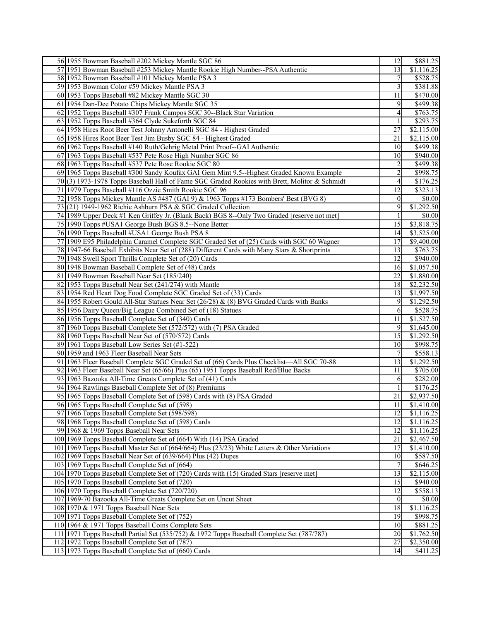| 56 1955 Bowman Baseball #202 Mickey Mantle SGC 86                                             | 12              | \$881.25               |
|-----------------------------------------------------------------------------------------------|-----------------|------------------------|
| 57 1951 Bowman Baseball #253 Mickey Mantle Rookie High Number--PSA Authentic                  | 13              | $\overline{$1,116.25}$ |
| 58 1952 Bowman Baseball #101 Mickey Mantle PSA 3                                              | 7               | \$528.75               |
| 59 1953 Bowman Color #59 Mickey Mantle PSA 3                                                  | 3               | \$381.88               |
| 60 1953 Topps Baseball #82 Mickey Mantle SGC 30                                               | 11              | \$470.00               |
| 61 1954 Dan-Dee Potato Chips Mickey Mantle SGC 35                                             | 9               | \$499.38               |
| 62 1952 Topps Baseball #307 Frank Campos SGC 30--Black Star Variation                         | 4               | \$763.75               |
| 63 1952 Topps Baseball #364 Clyde Sukeforth SGC 84                                            |                 | \$293.75               |
| 64 1958 Hires Root Beer Test Johnny Antonelli SGC 84 - Highest Graded                         | 27              | \$2,115.00             |
| 65 1958 Hires Root Beer Test Jim Busby SGC 84 - Highest Graded                                | 21              | \$2,115.00             |
| 66 1962 Topps Baseball #140 Ruth/Gehrig Metal Print Proof--GAI Authentic                      | 10              | \$499.38               |
| 67 1963 Topps Baseball #537 Pete Rose High Number SGC 86                                      | 10              | \$940.00               |
| 68 1963 Topps Baseball #537 Pete Rose Rookie SGC 80                                           |                 | \$499.38               |
|                                                                                               | 2               |                        |
| 69 1965 Topps Baseball #300 Sandy Koufax GAI Gem Mint 9.5--Highest Graded Known Example       | $\overline{c}$  | \$998.75               |
| 70(3) 1973-1978 Topps Baseball Hall of Fame SGC Graded Rookies with Brett, Molitor & Schmidt  | 4               | \$176.25               |
| 71 1979 Topps Baseball #116 Ozzie Smith Rookie SGC 96                                         | 12              | \$323.13               |
| 72 1958 Topps Mickey Mantle AS #487 (GAI 9) & 1963 Topps #173 Bombers' Best (BVG 8)           | $\mathbf{0}$    | \$0.00                 |
| 73 $(21)$ 1949-1962 Richie Ashburn PSA & SGC Graded Collection                                | 9               | \$1,292.50             |
| 74 1989 Upper Deck #1 Ken Griffey Jr. (Blank Back) BGS 8--Only Two Graded [reserve not met]   |                 | \$0.00                 |
| 75 1990 Topps #USA1 George Bush BGS 8.5--None Better                                          | 15              | \$3,818.75             |
| 76 1990 Topps Baseball #USA1 George Bush PSA 8                                                | 14              | \$3,525.00             |
| 77 1909 E95 Philadelphia Caramel Complete SGC Graded Set of (25) Cards with SGC 60 Wagner     | 17              | \$9,400.00             |
| 78 1947-66 Baseball Exhibits Near Set of (288) Different Cards with Many Stars & Shortprints  | 13              | \$763.75               |
| 79 1948 Swell Sport Thrills Complete Set of (20) Cards                                        | 12              | \$940.00               |
| 80 1948 Bowman Baseball Complete Set of (48) Cards                                            | 16              | \$1,057.50             |
| 81 1949 Bowman Baseball Near Set (185/240)                                                    | 22              | \$1,880.00             |
| 82 1953 Topps Baseball Near Set (241/274) with Mantle                                         | <sup>18</sup>   | \$2,232.50             |
| 83 1954 Red Heart Dog Food Complete SGC Graded Set of (33) Cards                              | 13              | \$1,997.50             |
| 84 1955 Robert Gould All-Star Statues Near Set (26/28) & (8) BVG Graded Cards with Banks      | 9               | \$1,292.50             |
| 85 1956 Dairy Queen/Big League Combined Set of (18) Statues                                   | 6               | \$528.75               |
| 86 1956 Topps Baseball Complete Set of (340) Cards                                            | 11              | \$1,527.50             |
| 87 1960 Topps Baseball Complete Set (572/572) with (7) PSA Graded                             | 9               | \$1,645.00             |
| 88 1960 Topps Baseball Near Set of (570/572) Cards                                            | 15              | \$1,292.50             |
| 89 1961 Topps Baseball Low Series Set (#1-522)                                                | 10              | $\overline{$998.75}$   |
| 90 1959 and 1963 Fleer Baseball Near Sets                                                     | 7               | \$558.13               |
| 91 1963 Fleer Baseball Complete SGC Graded Set of (66) Cards Plus Checklist—All SGC 70-88     | 13              | \$1,292.50             |
| 92 1963 Fleer Baseball Near Set (65/66) Plus (65) 1951 Topps Baseball Red/Blue Backs          | 11              | \$705.00               |
| 93 1963 Bazooka All-Time Greats Complete Set of (41) Cards                                    | 6               | \$282.00               |
| 94 1964 Rawlings Baseball Complete Set of (8) Premiums                                        |                 | \$176.25               |
| 95 1965 Topps Baseball Complete Set of (598) Cards with (8) PSA Graded                        | 21              | \$2,937.50             |
| 96 1965 Topps Baseball Complete Set of (598)                                                  | $\overline{11}$ | \$1,410.00             |
| 97 1966 Topps Baseball Complete Set (598/598)                                                 | 12              | $\overline{$1,116.25}$ |
| 98 1968 Topps Baseball Complete Set of (598) Cards                                            | 12              | \$1,116.25             |
| 99 1968 & 1969 Topps Baseball Near Sets                                                       | 12              | \$1,116.25             |
| 100 1969 Topps Baseball Complete Set of (664) With (14) PSA Graded                            | 21              | \$2,467.50             |
| 101 1969 Topps Baseball Master Set of (664/664) Plus (23/23) White Letters & Other Variations | 17              | \$1,410.00             |
| 102 1969 Topps Baseball Near Set of (639/664) Plus (42) Dupes                                 | 10              | \$587.50               |
| 103 1969 Topps Baseball Complete Set of (664)                                                 | $\overline{7}$  | $\overline{$646.25}$   |
| 104 1970 Topps Baseball Complete Set of (720) Cards with (15) Graded Stars [reserve met]      | 13              | \$2,115.00             |
| 105 1970 Topps Baseball Complete Set of (720)                                                 | 15              | \$940.00               |
| 106 1970 Topps Baseball Complete Set (720/720)                                                | 12              | \$558.13               |
| 107 1969-70 Bazooka All-Time Greats Complete Set on Uncut Sheet                               | $\overline{0}$  | \$0.00                 |
| 108 1970 & 1971 Topps Baseball Near Sets                                                      | 18              | $\overline{1,116.25}$  |
| 109 1971 Topps Baseball Complete Set of (752)                                                 | 19              | \$998.75               |
| 110 1964 & 1971 Topps Baseball Coins Complete Sets                                            | 10              | \$881.25               |
| 111 1971 Topps Baseball Partial Set (535/752) & 1972 Topps Baseball Complete Set (787/787)    | $20\,$          | \$1,762.50             |
| 112 1972 Topps Baseball Complete Set of (787)                                                 | 27              | \$2,350.00             |
| 113 1973 Topps Baseball Complete Set of (660) Cards                                           | 14              | \$411.25               |
|                                                                                               |                 |                        |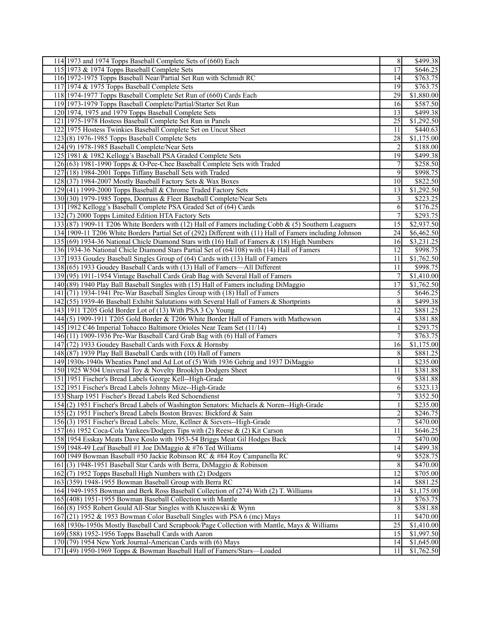| 114 1973 and 1974 Topps Baseball Complete Sets of (660) Each                                             | $\overline{8}$  | $\overline{$499.38}$    |
|----------------------------------------------------------------------------------------------------------|-----------------|-------------------------|
| 115 1973 & 1974 Topps Baseball Complete Sets                                                             | 17              | \$646.25                |
| 116 1972-1975 Topps Baseball Near/Partial Set Run with Schmidt RC                                        | 14              | \$763.75                |
| 117 1974 & 1975 Topps Baseball Complete Sets                                                             | 19              | \$763.75                |
| 118 1974-1977 Topps Baseball Complete Set Run of (660) Cards Each                                        | $\overline{29}$ | \$1,880.00              |
| 119 1973-1979 Topps Baseball Complete/Partial/Starter Set Run                                            | 16              | \$587.50                |
| 120 1974, 1975 and 1979 Topps Baseball Complete Sets                                                     | 13              | \$499.38                |
| 121 1975-1978 Hostess Baseball Complete Set Run in Panels                                                | $\overline{25}$ | \$1,292.50              |
| 122 1975 Hostess Twinkies Baseball Complete Set on Uncut Sheet                                           | 11              | \$440.63                |
| $123(8)$ 1976-1985 Topps Baseball Complete Sets                                                          | 28              | \$1,175.00              |
| $124(9)$ 1978-1985 Baseball Complete/Near Sets                                                           | $\overline{2}$  | \$188.00                |
| 125 1981 & 1982 Kellogg's Baseball PSA Graded Complete Sets                                              | 19              | \$499.38                |
| 126(63) 1981-1990 Topps & O-Pee-Chee Baseball Complete Sets with Traded                                  | $\overline{7}$  | \$258.50                |
| $127(18)$ 1984-2001 Topps Tiffany Baseball Sets with Traded                                              | 9               | \$998.75                |
| 128 (37) 1984-2007 Mostly Baseball Factory Sets & Wax Boxes                                              | 10 <sup>1</sup> | \$822.50                |
| 129(41) 1999-2000 Topps Baseball & Chrome Traded Factory Sets                                            | 13              | \$1,292.50              |
| 130(30) 1979-1985 Topps, Donruss & Fleer Baseball Complete/Near Sets                                     | $\overline{3}$  | \$223.25                |
| 131 1982 Kellogg's Baseball Complete PSA Graded Set of (64) Cards                                        | 6               | \$176.25                |
| 132(7) 2000 Topps Limited Edition HTA Factory Sets                                                       | $\overline{7}$  | \$293.75                |
| 133 (87) 1909-11 T206 White Borders with (12) Hall of Famers including Cobb & (5) Southern Leaguers      | 15              | \$2,937.50              |
| 134 1909-11 T206 White Borders Partial Set of (292) Different with (11) Hall of Famers including Johnson | 24              | \$6,462.50              |
| 135 (69) 1934-36 National Chicle Diamond Stars with (16) Hall of Famers & (18) High Numbers              | 16              | $\overline{\$3,231.25}$ |
| 136 1934-36 National Chicle Diamond Stars Partial Set of (64/108) with (14) Hall of Famers               |                 |                         |
|                                                                                                          | 12              | \$998.75                |
| 137 1933 Goudey Baseball Singles Group of (64) Cards with (13) Hall of Famers                            | 11              | \$1,762.50              |
| 138 (65) 1933 Goudey Baseball Cards with (13) Hall of Famers—All Different                               | 11              | \$998.75                |
| 139(95) 1911-1954 Vintage Baseball Cards Grab Bag with Several Hall of Famers                            | $7\overline{ }$ | \$1,410.00              |
| 140 (89) 1940 Play Ball Baseball Singles with (15) Hall of Famers including DiMaggio                     | $\overline{17}$ | \$1,762.50              |
| 141 (71) 1934-1941 Pre-War Baseball Singles Group with (18) Hall of Famers                               | $\mathfrak{S}$  | \$646.25                |
| 142 (55) 1939-46 Baseball Exhibit Salutations with Several Hall of Famers & Shortprints                  | $\overline{8}$  | \$499.38                |
| 143 1911 T205 Gold Border Lot of (13) With PSA 3 Cy Young                                                | $\overline{12}$ | \$881.25                |
| 144(5) 1909-1911 T205 Gold Border & T206 White Border Hall of Famers with Mathewson                      | $\vert$         | \$381.88                |
| 145 1912 C46 Imperial Tobacco Baltimore Orioles Near Team Set (11/14)                                    | $\mathbf{1}$    | \$293.75                |
| 146(11) 1909-1936 Pre-War Baseball Card Grab Bag with (6) Hall of Famers                                 | $\overline{7}$  | \$763.75                |
| 147 (72) 1933 Goudey Baseball Cards with Foxx & Hornsby                                                  | 16              | \$1,175.00              |
| 148 (87) 1939 Play Ball Baseball Cards with (10) Hall of Famers                                          | 8               | \$881.25                |
| 149 1930s-1940s Wheaties Panel and Ad Lot of (5) With 1936 Gehrig and 1937 DiMaggio                      | $\mathbf{1}$    | \$235.00                |
| 150 1925 W504 Universal Toy & Novelty Brooklyn Dodgers Sheet                                             | 11              | \$381.88                |
| 151 1951 Fischer's Bread Labels George Kell--High-Grade                                                  | $\overline{9}$  | \$381.88                |
| 152 1951 Fischer's Bread Labels Johnny Mize--High-Grade                                                  | 6               | \$323.13                |
| 153 Sharp 1951 Fischer's Bread Labels Red Schoendienst                                                   | 7 <sup>1</sup>  | \$352.50                |
| 154(2) 1951 Fischer's Bread Labels of Washington Senators: Michaels & Noren-High-Grade                   | $\mathbf{1}$    | \$235.00                |
| 155(2) 1951 Fischer's Bread Labels Boston Braves: Bickford & Sain                                        | $\overline{2}$  | \$246.75                |
| 156(3) 1951 Fischer's Bread Labels: Mize, Kellner & Sievers--High-Grade                                  | 7               | \$470.00                |
| 157(6) 1952 Coca-Cola Yankees/Dodgers Tips with (2) Reese & (2) Kit Carson                               | 11              | \$646.25                |
| 158 1954 Esskay Meats Dave Koslo with 1953-54 Briggs Meat Gil Hodges Back                                | $\overline{7}$  | \$470.00]               |
| 159 1948-49 Leaf Baseball #1 Joe DiMaggio & #76 Ted Williams                                             | 14              | \$499.38                |
| 160 1949 Bowman Baseball #50 Jackie Robinson RC & #84 Roy Campanella RC                                  | 9               | \$528.75                |
| 161(3) 1948-1951 Baseball Star Cards with Berra, DiMaggio & Robinson                                     | 8               | \$470.00                |
| 162(7) 1952 Topps Baseball High Numbers with (2) Dodgers                                                 | 12              | \$705.00                |
| $163(359)$ 1948-1955 Bowman Baseball Group with Berra RC                                                 | 14              | \$881.25                |
| 164 1949-1955 Bowman and Berk Ross Baseball Collection of (274) With (2) T. Williams                     | 14              | \$1,175.00              |
| 165 (408) 1951-1955 Bowman Baseball Collection with Mantle                                               | 13              | \$763.75                |
| 166(8) 1955 Robert Gould All-Star Singles with Kluszewski & Wynn                                         | 8               | \$381.88                |
| 167(21) 1952 & 1953 Bowman Color Baseball Singles with PSA 6 (mc) Mays                                   | 11              | $\overline{$470.00}$    |
| 168 1930s-1950s Mostly Baseball Card Scrapbook/Page Collection with Mantle, Mays & Williams              | $\overline{25}$ | \$1,410.00              |
| 169 (588) 1952-1956 Topps Baseball Cards with Aaron                                                      | 15              | \$1,997.50              |
| $170(79)$ 1954 New York Journal-American Cards with (6) Mays                                             | 14              | \$1,645.00              |
| 171(49) 1950-1969 Topps & Bowman Baseball Hall of Famers/Stars—Loaded                                    | 11              | \$1,762.50              |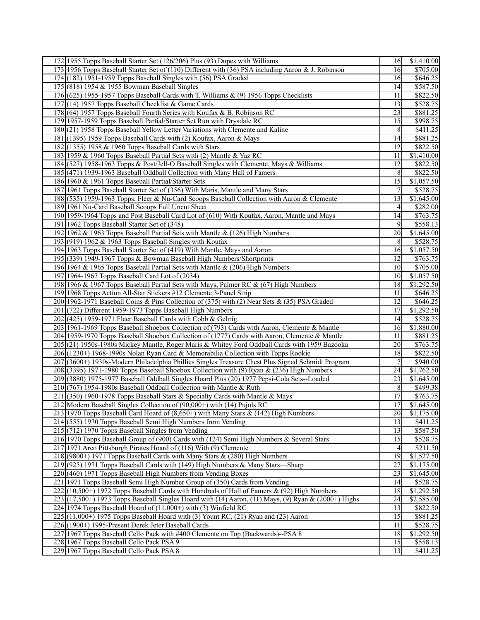| 172 1955 Topps Baseball Starter Set (126/206) Plus (93) Dupes with Williams                           | 16             | \$1,410.00           |
|-------------------------------------------------------------------------------------------------------|----------------|----------------------|
| 173 1956 Topps Baseball Starter Set of (110) Different with (36) PSA including Aaron & J. Robinson    | 16             | \$705.00             |
| 174 (182) 1951-1959 Topps Baseball Singles with (56) PSA Graded                                       | 16             | \$646.25             |
| 175 (818) 1954 & 1955 Bowman Baseball Singles                                                         | 14             | \$587.50             |
| $176$ (625) 1955-1957 Topps Baseball Cards with T. Williams & (9) 1956 Topps Checklists               | 11             | \$822.50             |
| 177 (14) 1957 Topps Baseball Checklist & Game Cards                                                   | 13             | \$528.75             |
| 178 (64) 1957 Topps Baseball Fourth Series with Koufax & B. Robinson RC                               | 23             | \$881.25             |
| 179 1957-1959 Topps Baseball Partial/Starter Set Run with Drysdale RC                                 | 15             | \$998.75             |
| 180(21) 1958 Topps Baseball Yellow Letter Variations with Clemente and Kaline                         | 8              | \$411.25             |
| 181 (1395) 1959 Topps Baseball Cards with (2) Koufax, Aaron & Mays                                    | 14             | \$881.25             |
| 182 (1355) 1958 & 1960 Topps Baseball Cards with Stars                                                | 12             | \$822.50             |
| 183 1959 & 1960 Topps Baseball Partial Sets with (2) Mantle & Yaz RC                                  | 11             | \$1,410.00           |
| 184 (527) 1958-1963 Topps & Post/Jell-O Baseball Singles with Clemente, Mays & Williams               | 12             | \$822.50             |
| 185 (471) 1939-1963 Baseball Oddball Collection with Many Hall of Famers                              | 8              | \$822.50             |
| 186 1960 & 1961 Topps Baseball Partial/Starter Sets                                                   | 15             | \$1,057.50           |
| 187 1961 Topps Baseball Starter Set of (356) With Maris, Mantle and Many Stars                        | 7 <sup>1</sup> | \$528.75             |
| 188 (535) 1959-1963 Topps, Fleer & Nu-Card Scoops Baseball Collection with Aaron & Clemente           | 13             | \$1,645.00           |
| 189 1961 Nu-Card Baseball Scoops Full Uncut Sheet                                                     | $\vert$        | \$282.00             |
| 190 1959-1964 Topps and Post Baseball Card Lot of (610) With Koufax, Aaron, Mantle and Mays           | 14             | $\overline{$}763.75$ |
| 191 1962 Topps Baseball Starter Set of (348)                                                          | 9              | \$558.13             |
| 192 1962 & 1963 Topps Baseball Partial Sets with Mantle & (126) High Numbers                          | 20             | \$1,645.00           |
| 193 $(919)$ 1962 & 1963 Topps Baseball Singles with Koufax                                            | 8 <sup>l</sup> | \$528.75             |
| 194 1963 Topps Baseball Starter Set of (419) With Mantle, Mays and Aaron                              | 16             | \$1,057.50           |
| 195 (339) 1949-1967 Topps & Bowman Baseball High Numbers/Shortprints                                  | 12             | \$763.75             |
| 196 1964 & 1965 Topps Baseball Partial Sets with Mantle & (206) High Numbers                          | 10             | \$705.00             |
| 197 1964-1967 Topps Baseball Card Lot of (2034)                                                       | 10             | \$1,057.50           |
| 198 1966 & 1967 Topps Baseball Partial Sets with Mays, Palmer RC & (67) High Numbers                  | 18             | \$1,292.50           |
| 199 1968 Topps Action All-Star Stickers #12 Clemente 3-Panel Strip                                    | 11             | \$646.25             |
| 200 1962-1971 Baseball Coins & Pins Collection of (375) with (2) Near Sets & (35) PSA Graded          | 12             | \$646.25             |
| 201 (722) Different 1959-1973 Topps Baseball High Numbers                                             | 17             | \$1,292.50           |
| $202$ (425) 1959-1971 Fleer Baseball Cards with Cobb & Gehrig                                         | 14             | $\overline{$}528.75$ |
| 203 1961-1969 Topps Baseball Shoebox Collection of (793) Cards with Aaron, Clemente & Mantle          | 16             | \$1,880.00           |
| 204 1959-1970 Topps Baseball Shoebox Collection of (1777) Cards with Aaron, Clemente & Mantle         | 11             | \$881.25             |
| 205 (21) 1950s-1980s Mickey Mantle, Roger Maris & Whitey Ford Oddball Cards with 1959 Bazooka         | 20             | $\overline{$}763.75$ |
| 206 (1230+) 1968-1990s Nolan Ryan Card & Memorabilia Collection with Topps Rookie                     | 18             | \$822.50             |
| 207 (3600+) 1930s-Modern Philadelphia Phillies Singles Treasure Chest Plus Signed Schmidt Program     | $\overline{7}$ | \$940.00             |
| 208 (3395) 1971-1980 Topps Baseball Shoebox Collection with (9) Ryan & (236) High Numbers             | 24             | \$1,762.50           |
| 209 (3880) 1975-1977 Baseball Oddball Singles Hoard Plus (20) 1977 Pepsi-Cola Sets--Loaded            | 23             | \$1,645.00           |
| $210(767)$ 1954-1980s Baseball Oddball Collection with Mantle & Ruth                                  | $\,8$          | \$499.38             |
| 211 (350) 1960-1978 Topps Baseball Stars & Specialty Cards with Mantle & Mays                         | 17             | \$763.75             |
| 212 Modern Baseball Singles Collection of (90,000+) with (14) Pujols RC                               | 17             | \$1,645.00           |
| 213 1970 Topps Baseball Card Hoard of (8,650+) with Many Stars & (142) High Numbers                   | 20             | \$1,175.00           |
| 214(555) 1970 Topps Baseball Semi High Numbers from Vending                                           | 13             | \$411.25             |
| $215(712)$ 1970 Topps Baseball Singles from Vending                                                   | 13             | \$587.50             |
| 216 1970 Topps Baseball Group of (900) Cards with (124) Semi High Numbers & Several Stars             | 15             | \$528.75             |
| 217 1971 Arco Pittsburgh Pirates Hoard of (116) With (9) Clemente                                     | $\vert$        | \$211.50             |
| $218(9800+)$ 1971 Topps Baseball Cards with Many Stars & (280) High Numbers                           | 19             | \$1,527.50           |
| 219 (925) 1971 Topps Baseball Cards with (149) High Numbers & Many Stars—Sharp                        | 27             | \$1,175.00           |
| 220 (460) 1971 Topps Baseball High Numbers from Vending Boxes                                         | 23             | \$1,645.00           |
| 221 1971 Topps Baseball Semi High Number Group of (350) Cards from Vending                            | 14             | \$528.75             |
| $222 (10,500+)$ 1972 Topps Baseball Cards with Hundreds of Hall of Famers & (92) High Numbers         | 18             | \$1,292.50           |
| $223(17,500+)$ 1973 Topps Baseball Singles Hoard with (14) Aaron, (11) Mays, (9) Ryan & (2000+) Highs | 24             | \$2,585.00           |
| 224 1974 Topps Baseball Hoard of (11,000+) with (3) Winfield RC                                       | 13             | \$822.50             |
| $225[(11,000+)$ 1975 Topps Baseball Hoard with (3) Yount RC, (21) Ryan and (23) Aaron                 | 15             | \$881.25             |
| 226 (1900+) 1995-Present Derek Jeter Baseball Cards                                                   | 11             | \$528.75             |
| 227 1967 Topps Baseball Cello Pack with #400 Clemente on Top (Backwards)--PSA 8                       | 18             | \$1,292.50           |
| 228 1967 Topps Baseball Cello Pack PSA 9                                                              | 15             | \$558.13             |
| 229 1967 Topps Baseball Cello Pack PSA 8                                                              | 13             | \$411.25             |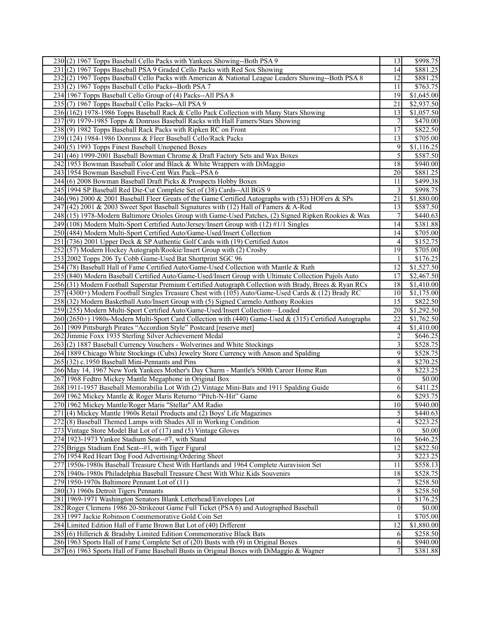| 230(2) 1967 Topps Baseball Cello Packs with Yankees Showing--Both PSA 9                                | 13                      | \$998.75             |
|--------------------------------------------------------------------------------------------------------|-------------------------|----------------------|
| 231(2) 1967 Topps Baseball PSA 9 Graded Cello Packs with Red Sox Showing                               | 14                      | \$881.25             |
| 232](2) 1967 Topps Baseball Cello Packs with American & National League Leaders Showing--Both PSA 8    | 12                      | \$881.25             |
| 233(2) 1967 Topps Baseball Cello Packs--Both PSA 7                                                     | 11                      | \$763.75             |
| 234 1967 Topps Baseball Cello Group of (4) Packs--All PSA 8                                            | 19                      | \$1,645.00           |
| 235(7) 1967 Topps Baseball Cello Packs--All PSA 9                                                      | 21                      | \$2,937.50           |
| 236 (162) 1978-1986 Topps Baseball Rack & Cello Pack Collection with Many Stars Showing                | 13                      | \$1,057.50           |
| 237(9) 1979-1985 Topps & Donruss Baseball Racks with Hall Famers/Stars Showing                         | $7 \,$                  | \$470.00             |
| 238(9) 1982 Topps Baseball Rack Packs with Ripken RC on Front                                          | 17                      | \$822.50             |
| 239 (124) 1984-1986 Donruss & Fleer Baseball Cello/Rack Packs                                          | 13                      | \$705.00             |
| 240(5) 1993 Topps Finest Baseball Unopened Boxes                                                       | 9                       | \$1,116.25           |
| 241 (46) 1999-2001 Baseball Bowman Chrome & Draft Factory Sets and Wax Boxes                           | $\mathfrak{S}$          | \$587.50             |
| 242 1953 Bowman Baseball Color and Black & White Wrappers with DiMaggio                                | 18                      | \$940.00             |
| 243 1954 Bowman Baseball Five-Cent Wax Pack--PSA 6                                                     | 20                      | \$881.25             |
| 244(6) 2008 Bowman Baseball Draft Picks & Prospects Hobby Boxes                                        | 11                      | \$499.38             |
|                                                                                                        |                         | \$998.75             |
| 245 1994 SP Baseball Red Die-Cut Complete Set of (38) Cards--All BGS 9                                 | $\overline{3}$          |                      |
| 246 (96) 2000 & 2001 Baseball Fleer Greats of the Game Certified Autographs with (53) HOFers & SPs     | 21                      | \$1,880.00           |
| 247 (42) 2001 & 2003 Sweet Spot Baseball Signatures with (12) Hall of Famers & A-Rod                   | 13                      | \$587.50             |
| 248 (15) 1978-Modern Baltimore Orioles Group with Game-Used Patches, (2) Signed Ripken Rookies & Wax   | 7                       | \$440.63             |
| 249(108) Modern Multi-Sport Certified Auto/Jersey/Insert Group with (12) #1/1 Singles                  | 14                      | \$381.88             |
| 250 (484) Modern Multi-Sport Certified Auto/Game-Used/Insert Collection                                | 14                      | \$705.00             |
| 251 (736) 2001 Upper Deck & SP Authentic Golf Cards with (19) Certified Autos                          | 4 <sup>1</sup>          | \$152.75             |
| 252(57) Modern Hockey Autograph/Rookie/Insert Group with (2) Crosby                                    | 19                      | \$705.00             |
| 253 2002 Topps 206 Ty Cobb Game-Used Bat Shortprint SGC 96                                             | $\frac{1}{2}$           | \$176.25             |
| 254 (78) Baseball Hall of Fame Certified Auto/Game-Used Collection with Mantle & Ruth                  | 12                      | \$1,527.50           |
| 255 (840) Modern Baseball Certified Auto/Game-Used/Insert Group with Ultimate Collection Pujols Auto   | 17                      | \$2,467.50           |
| 256 (31) Modern Football Superstar Premium Certified Autograph Collection with Brady, Brees & Ryan RCs | 18                      | \$1,410.00           |
| 257 (4300+) Modern Football Singles Treasure Chest with (105) Auto/Game-Used Cards & (12) Brady RC     | 10                      | \$1,175.00           |
| 258 (32) Modern Basketball Auto/Insert Group with (5) Signed Carmelo Anthony Rookies                   | 15                      | \$822.50             |
| 259 (255) Modern Multi-Sport Certified Auto/Game-Used/Insert Collection-Loaded                         | 20                      | \$1,292.50           |
| 260 (2650+) 1980s-Modern Multi-Sport Card Collection with (440) Game-Used & (315) Certified Autographs | 22                      | \$1,762.50           |
| 261 1909 Pittsburgh Pirates "Accordion Style" Postcard [reserve met]                                   | $\vert$                 | \$1,410.00           |
| 262 Jimmie Foxx 1935 Sterling Silver Achievement Medal                                                 | $\overline{2}$          | \$646.25             |
| 263(2) 1887 Baseball Currency Vouchers - Wolverines and White Stockings                                | $\overline{\mathbf{3}}$ | \$528.75             |
| 264 1889 Chicago White Stockings (Cubs) Jewelry Store Currency with Anson and Spalding                 | 9                       | \$528.75             |
| 265 (32) c.1950 Baseball Mini-Pennants and Pins                                                        | 8                       | $\overline{$}270.25$ |
| 266 May 14, 1967 New York Yankees Mother's Day Charm - Mantle's 500th Career Home Run                  | 8                       | \$223.25             |
| 267 1968 Fedtro Mickey Mantle Megaphone in Original Box                                                | $\overline{0}$          | \$0.00               |
| 268 1911-1957 Baseball Memorabilia Lot With (2) Vintage Mini-Bats and 1911 Spalding Guide              | 6                       | \$411.25             |
| 269 1962 Mickey Mantle & Roger Maris Returno "Pitch-N-Hit" Game                                        | 6                       | \$293.75             |
| 270 1962 Mickey Mantle/Roger Maris "Stellar" AM Radio                                                  | 10 <sup>1</sup>         | \$940.00             |
| 271 (4) Mickey Mantle 1960s Retail Products and (2) Boys' Life Magazines                               | $\mathfrak{S}$          | \$440.63             |
| 272(8) Baseball Themed Lamps with Shades All in Working Condition                                      | $\vert$                 | \$223.25             |
| 273 Vintage Store Model Bat Lot of (17) and (5) Vintage Gloves                                         | $\Omega$                | \$0.00               |
| 274 1923-1973 Yankee Stadium Seat--#7, with Stand                                                      | 16                      | \$646.25             |
| 275 Briggs Stadium End Seat--#1, with Tiger Figural                                                    | 12                      | \$822.50             |
| 276 1954 Red Heart Dog Food Advertising/Ordering Sheet                                                 | $\overline{\mathbf{3}}$ | \$223.25             |
| 277 1950s-1980s Baseball Treasure Chest With Hartlands and 1964 Complete Auravision Set                | 11                      | \$558.13             |
| 278 1940s-1980s Philadelphia Baseball Treasure Chest With Whiz Kids Souvenirs                          | 18                      | \$528.75             |
| $279$  1950-1970s Baltimore Pennant Lot of $(11)$                                                      | $\overline{7}$          | \$258.50             |
| $280(3)$ 1960s Detroit Tigers Pennants                                                                 | $8\,$                   | \$258.50             |
| 281 1969-1971 Washington Senators Blank Letterhead/Envelopes Lot                                       | $\frac{1}{2}$           | \$176.25             |
| 282 Roger Clemens 1986 20-Strikeout Game Full Ticket (PSA 6) and Autographed Baseball                  | $\overline{0}$          | \$0.00               |
| 283 1997 Jackie Robinson Commemorative Gold Coin Set                                                   | $\mathbf{1}$            | \$705.00             |
| 284 Limited Edition Hall of Fame Brown Bat Lot of (40) Different                                       | $\overline{12}$         | \$1,880.00           |
| 285 (6) Hillerich & Bradsby Limited Edition Commemorative Black Bats                                   | 6                       | \$258.50             |
| 286 1963 Sports Hall of Fame Complete Set of (20) Busts with (9) in Original Boxes                     | 6                       | \$940.00             |
| 287 (6) 1963 Sports Hall of Fame Baseball Busts in Original Boxes with DiMaggio & Wagner               | 7 <sup>1</sup>          | \$381.88             |
|                                                                                                        |                         |                      |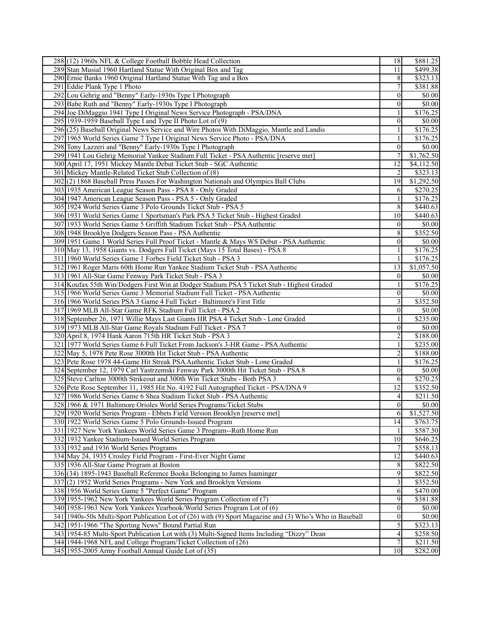| 288 (12) 1960s NFL & College Football Bobble Head Collection                                            | 18               | \$881.25       |
|---------------------------------------------------------------------------------------------------------|------------------|----------------|
| 289 Stan Musial 1960 Hartland Statue With Original Box and Tag                                          | 11               | \$499.38       |
| 290 Ernie Banks 1960 Original Hartland Statue With Tag and a Box                                        | 8                | \$323.13       |
| 291 Eddie Plank Type 1 Photo                                                                            | 7                | \$381.88       |
| 292 Lou Gehrig and "Benny" Early-1930s Type I Photograph                                                | $\theta$         | \$0.00         |
| 293 Babe Ruth and "Benny" Early-1930s Type I Photograph                                                 | $\overline{0}$   | $\sqrt{$0.00}$ |
| 294 Joe DiMaggio 1941 Type I Original News Service Photograph - PSA/DNA                                 | 1                | \$176.25       |
| 295 1939-1959 Baseball Type I and Type II Photo Lot of (9)                                              | $\overline{0}$   | \$0.00         |
| 296(25) Baseball Original News Service and Wire Photos With DiMaggio, Mantle and Landis                 |                  | \$176.25       |
| 297 1965 World Series Game 7 Type I Original News Service Photo - PSA/DNA                               | 1                | \$176.25       |
| 298 Tony Lazzeri and "Benny" Early-1930s Type I Photograph                                              | $\mathbf{0}$     | \$0.00         |
| 299 1941 Lou Gehrig Memorial Yankee Stadium Full Ticket - PSA Authentic [reserve met                    | $\tau$           | \$1,762.50     |
| 300 April 17, 1951 Mickey Mantle Debut Ticket Stub - SGC Authentic                                      | $\overline{12}$  | \$4,112.50     |
| 301 Mickey Mantle-Related Ticket Stub Collection of (8)                                                 | 2                | \$323.13       |
|                                                                                                         |                  |                |
| 302 (2) 1868 Baseball Press Passes For Washington Nationals and Olympics Ball Clubs                     | 19               | \$1,292.50     |
| 303 1935 American League Season Pass - PSA 8 - Only Graded                                              | 6                | \$270.25       |
| 304 1947 American League Season Pass - PSA 5 - Only Graded                                              | 1                | \$176.25       |
| 305 1924 World Series Game 3 Polo Grounds Ticket Stub - PSA 5                                           | 8                | \$440.63       |
| 306 1931 World Series Game 1 Sportsman's Park PSA 5 Ticket Stub - Highest Graded                        | 10               | \$440.63       |
| 307 1933 World Series Game 5 Griffith Stadium Ticket Stub - PSA Authentic                               | $\overline{0}$   | 10.00          |
| 308 1948 Brooklyn Dodgers Season Pass - PSA Authentic                                                   | 8                | \$352.50       |
| 309 1951 Game 1 World Series Full Proof Ticket - Mantle & Mays WS Debut - PSA Authentic                 | $\mathbf{0}$     | \$0.00         |
| 310 May 13, 1958 Giants vs. Dodgers Full Ticket (Mays 15 Total Bases) - PSA 8                           | 1                | \$176.25       |
| 311 1960 World Series Game 1 Forbes Field Ticket Stub - PSA 3                                           | $\mathbf{1}$     | \$176.25       |
| 312 1961 Roger Maris 60th Home Run Yankee Stadium Ticket Stub - PSA Authentic                           | 13               | \$1,057.50     |
| 313 1961 All-Star Game Fenway Park Ticket Stub - PSA 3                                                  | $\overline{0}$   | \$0.00         |
| 314 Koufax 55th Win/Dodgers First Win at Dodger Stadium PSA 5 Ticket Stub - Highest Graded              | 1                | \$176.25       |
| 315 1966 World Series Game 3 Memorial Stadium Full Ticket - PSA Authentic                               | $\mathbf{0}$     | $\sqrt{$0.00}$ |
| 316 1966 World Series PSA 3 Game 4 Full Ticket - Baltimore's First Title                                | 3                | \$352.50       |
| 317 1969 MLB All-Star Game RFK Stadium Full Ticket - PSA 2                                              | $\boldsymbol{0}$ | \$0.00         |
| 318 September 26, 1971 Willie Mays Last Giants HR PSA 4 Ticket Stub - Lone Graded                       | 1                | \$235.00       |
| 319 1973 MLB All-Star Game Royals Stadium Full Ticket - PSA 7                                           | $\overline{0}$   | \$0.00         |
| 320 April 8, 1974 Hank Aaron 715th HR Ticket Stub - PSA 3                                               | 2                | \$188.00       |
| 321 1977 World Series Game 6 Full Ticket From Jackson's 3-HR Game - PSA Authentic                       | 1                | \$235.00       |
| 322 May 5, 1978 Pete Rose 3000th Hit Ticket Stub - PSA Authentic                                        | $\overline{c}$   | \$188.00       |
| 323 Pete Rose 1978 44-Game Hit Streak PSA Authentic Ticket Stub - Lone Graded                           | $\mathbf{1}$     | \$176.25       |
| 324 September 12, 1979 Carl Yastrzemski Fenway Park 3000th Hit Ticket Stub - PSA 8                      | $\overline{0}$   | \$0.00         |
| 325 Steve Carlton 3000th Strikeout and 300th Win Ticket Stubs - Both PSA 3                              | 6                | \$270.25       |
| 326 Pete Rose September 11, 1985 Hit No. 4192 Full Autographed Ticket - PSA/DNA 9                       | 12               | \$352.50       |
| 327 1986 World Series Game 6 Shea Stadium Ticket Stub - PSA Authentic                                   | 4                | \$211.50       |
| 328 1966 & 1971 Baltimore Orioles World Series Programs/Ticket Stubs                                    | $\theta$         | \$0.00         |
| 329 1920 World Series Program - Ebbets Field Version Brooklyn [reserve met]                             | 6                | \$1,527.50     |
| 330 1922 World Series Game 5 Polo Grounds-Issued Program                                                | 14               | \$763.75       |
| 331 1927 New York Yankees World Series Game 3 Program--Ruth Home Run                                    | 1                | \$587.50       |
| 332 1932 Yankee Stadium-Issued World Series Program                                                     | 10               | \$646.25       |
| 333 1932 and 1936 World Series Programs                                                                 | 7                | \$558.13       |
| 334 May 24, 1935 Crosley Field Program - First-Ever Night Game                                          | $\overline{12}$  | \$440.63       |
| 335 1936 All-Star Game Program at Boston                                                                | 8                | \$822.50       |
| 336 (34) 1895-1943 Baseball Reference Books Belonging to James Isaminger                                | 9                | \$822.50       |
| 337(2) 1952 World Series Programs - New York and Brooklyn Versions                                      | $\overline{3}$   | \$352.50       |
| 338 1956 World Series Game 5 "Perfect Game" Program                                                     | 6                | \$470.00       |
| 339 1955-1962 New York Yankees World Series Program Collection of (7)                                   | 9                | \$381.88       |
| 340 1958-1963 New York Yankees Yearbook/World Series Program Lot of (6)                                 | $\vert 0 \vert$  | \$0.00         |
| 341 1940s-50s Multi-Sport Publication Lot of (26) with (9) Sport Magazine and (3) Who's Who in Baseball | $\overline{0}$   | \$0.00         |
| 342 1951-1966 "The Sporting News" Bound Partial Run                                                     | $\overline{5}$   | \$323.13       |
| 343 1954-85 Multi-Sport Publication Lot with (3) Multi-Signed Items Including "Dizzy" Dean              | $\vert 4 \vert$  | \$258.50       |
| 344 1944-1968 NFL and College Program/Ticket Collection of (26)                                         | $\tau$           | \$211.50       |
|                                                                                                         |                  |                |
| 345 1955-2005 Army Football Annual Guide Lot of (35)                                                    | 10               | \$282.00       |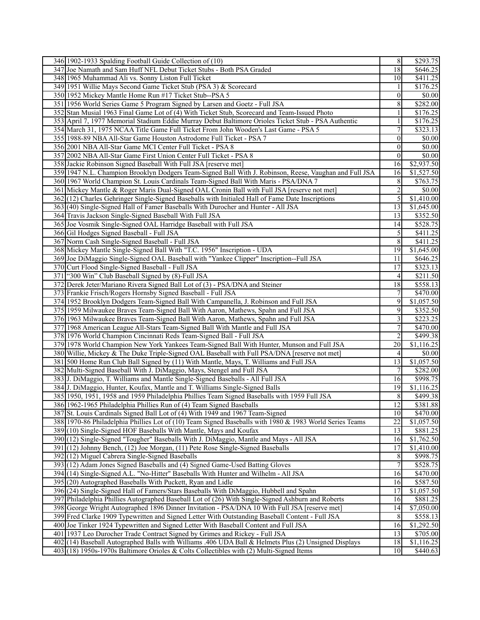| 18<br>\$646.25<br>347 Joe Namath and Sam Huff NFL Debut Ticket Stubs - Both PSA Graded<br>\$411.25<br>348 1965 Muhammad Ali vs. Sonny Liston Full Ticket<br>10<br>\$176.25<br>349 1951 Willie Mays Second Game Ticket Stub (PSA 3) & Scorecard<br>1<br>350 1952 Mickey Mantle Home Run #17 Ticket Stub--PSA 5<br>\$0.00<br>$\mathbf{0}$<br>8<br>\$282.00<br>351 1956 World Series Game 5 Program Signed by Larsen and Goetz - Full JSA<br>$\mathbf{1}$<br>\$176.25<br>352 Stan Musial 1963 Final Game Lot of (4) With Ticket Stub, Scorecard and Team-Issued Photo<br>$\mathbf{1}$<br>$\overline{$176.25}$<br>353 April 7, 1977 Memorial Stadium Eddie Murray Debut Baltimore Orioles Ticket Stub - PSA Authentic<br>$\tau$<br>354 March 31, 1975 NCAA Title Game Full Ticket From John Wooden's Last Game - PSA 5<br>\$323.13<br>355 1988-89 NBA All-Star Game Houston Astrodome Full Ticket - PSA 7<br>$\mathbf{0}$<br>\$0.00<br>356 2001 NBA All-Star Game MCI Center Full Ticket - PSA 8<br>$\overline{$}0.00$<br>$\mathbf{0}$<br>357 2002 NBA All-Star Game First Union Center Full Ticket - PSA 8<br>$\overline{0}$<br>\$0.00<br>\$2,937.50<br>358 Jackie Robinson Signed Baseball With Full JSA [reserve met]<br>16<br>\$1,527.50<br>359 1947 N.L. Champion Brooklyn Dodgers Team-Signed Ball With J. Robinson, Reese, Vaughan and Full JSA<br>16<br>\$763.75<br>360 1967 World Champion St. Louis Cardinals Team-Signed Ball With Maris - PSA/DNA 7<br>8<br>2<br>361 Mickey Mantle & Roger Maris Dual-Signed OAL Cronin Ball with Full JSA [reserve not met]<br>\$0.00<br>5<br>\$1,410.00<br>362(12) Charles Gehringer Single-Signed Baseballs with Initialed Hall of Fame Date Inscriptions<br>13<br>\$1,645.00<br>363 (40) Single-Signed Hall of Famer Baseballs With Durocher and Hunter - All JSA<br>13<br>\$352.50<br>364 Travis Jackson Single-Signed Baseball With Full JSA<br>\$528.75<br>365 Joe Vosmik Single-Signed OAL Harridge Baseball with Full JSA<br>14<br>366 Gil Hodges Signed Baseball - Full JSA<br>5<br>\$411.25<br>8<br>367 Norm Cash Single-Signed Baseball - Full JSA<br>\$411.25<br>19<br>368 Mickey Mantle Single-Signed Ball With "T.C. 1956" Inscription - UDA<br>\$1,645.00<br>369 Joe DiMaggio Single-Signed OAL Baseball with "Yankee Clipper" Inscription--Full JSA<br>11<br>\$646.25<br>17<br>\$323.13<br>370 Curt Flood Single-Signed Baseball - Full JSA<br>\$211.50<br>371 ["300 Win" Club Baseball Signed by (8)-Full JSA<br>$\left 4\right $<br>18<br>\$558.13<br>372 Derek Jeter/Mariano Rivera Signed Ball Lot of (3) - PSA/DNA and Steiner<br>\$470.00]<br>373 Frankie Frisch/Rogers Hornsby Signed Baseball - Full JSA<br>7<br>9<br>\$1,057.50<br>374 1952 Brooklyn Dodgers Team-Signed Ball With Campanella, J. Robinson and Full JSA<br>9<br>375 1959 Milwaukee Braves Team-Signed Ball With Aaron, Mathews, Spahn and Full JSA<br>\$352.50<br>3<br>\$223.25<br>376 1963 Milwaukee Braves Team-Signed Ball With Aaron, Mathews, Spahn and Full JSA<br>$\tau$<br>\$470.00<br>377 1968 American League All-Stars Team-Signed Ball With Mantle and Full JSA<br>$\boldsymbol{2}$<br>\$499.38<br>378 1976 World Champion Cincinnati Reds Team-Signed Ball - Full JSA<br>379 1978 World Champion New York Yankees Team-Signed Ball With Hunter, Munson and Full JSA<br>\$1,116.25<br>20<br>\$0.00<br>380 Willie, Mickey & The Duke Triple-Signed OAL Baseball with Full PSA/DNA [reserve not met]<br>4<br>13<br>381 500 Home Run Club Ball Signed by (11) With Mantle, Mays, T. Williams and Full JSA<br>\$1,057.50<br>382 Multi-Signed Baseball With J. DiMaggio, Mays, Stengel and Full JSA<br>7<br>\$282.00<br>\$998.75<br>383 J. DiMaggio, T. Williams and Mantle Single-Signed Baseballs - All Full JSA<br>16<br>384 J. DiMaggio, Hunter, Koufax, Mantle and T. Williams Single-Signed Balls<br>\$1,116.25<br>19<br>385 1950, 1951, 1958 and 1959 Philadelphia Phillies Team Signed Baseballs with 1959 Full JSA<br>\$499.38<br>8<br>$\overline{12}$<br>386 1962-1965 Philadelphia Phillies Run of (4) Team Signed Baseballs<br>\$381.88<br>10<br>387 St. Louis Cardinals Signed Ball Lot of (4) With 1949 and 1967 Team-Signed<br>\$470.00<br>22<br>\$1,057.50<br>388 1970-86 Philadelphia Phillies Lot of (10) Team Signed Baseballs with 1980 & 1983 World Series Teams<br>\$881.25<br>389(10) Single-Signed HOF Baseballs With Mantle, Mays and Koufax<br>13<br>390 (12) Single-Signed "Tougher" Baseballs With J. DiMaggio, Mantle and Mays - All JSA<br>\$1,762.50<br>16<br>17<br>391 (12) Johnny Bench, (12) Joe Morgan, (11) Pete Rose Single-Signed Baseballs<br>\$1,410.00<br>392(12) Miguel Cabrera Single-Signed Baseballs<br>8<br>\$998.75<br>$\overline{7}$<br>393 (12) Adam Jones Signed Baseballs and (4) Signed Game-Used Batting Gloves<br>\$528.75<br>\$470.00<br>394 (14) Single-Signed A.L. "No-Hitter" Baseballs With Hunter and Wilhelm - All JSA<br>16<br>\$587.50<br>395 (20) Autographed Baseballs With Puckett, Ryan and Lidle<br>16<br>396 (24) Single-Signed Hall of Famers/Stars Baseballs With DiMaggio, Hubbell and Spahn<br>\$1,057.50<br>17<br>397 Philadelphia Phillies Autographed Baseball Lot of (26) With Single-Signed Ashburn and Roberts<br>16<br>\$881.25<br>$\overline{$7,050.00}$<br>398 George Wright Autographed 1896 Dinner Invitation - PSA/DNA 10 With Full JSA [reserve met]<br>14<br>399 Fred Clarke 1909 Typewritten and Signed Letter With Outstanding Baseball Content - Full JSA<br>$\,8$<br>\$558.13<br>\$1,292.50<br>400 Joe Tinker 1924 Typewritten and Signed Letter With Baseball Content and Full JSA<br>16<br>401 1937 Leo Durocher Trade Contract Signed by Grimes and Rickey - Full JSA<br>\$705.00<br>13<br>402 (14) Baseball Autographed Balls with Williams .406 UDA Ball & Helmets Plus (2) Unsigned Displays<br>18<br>\$1,116.25<br>403 (18) 1950s-1970s Baltimore Orioles & Colts Collectibles with (2) Multi-Signed Items<br>10 | 346 1902-1933 Spalding Football Guide Collection of (10) | $\overline{8}$ | \$293.75 |
|-------------------------------------------------------------------------------------------------------------------------------------------------------------------------------------------------------------------------------------------------------------------------------------------------------------------------------------------------------------------------------------------------------------------------------------------------------------------------------------------------------------------------------------------------------------------------------------------------------------------------------------------------------------------------------------------------------------------------------------------------------------------------------------------------------------------------------------------------------------------------------------------------------------------------------------------------------------------------------------------------------------------------------------------------------------------------------------------------------------------------------------------------------------------------------------------------------------------------------------------------------------------------------------------------------------------------------------------------------------------------------------------------------------------------------------------------------------------------------------------------------------------------------------------------------------------------------------------------------------------------------------------------------------------------------------------------------------------------------------------------------------------------------------------------------------------------------------------------------------------------------------------------------------------------------------------------------------------------------------------------------------------------------------------------------------------------------------------------------------------------------------------------------------------------------------------------------------------------------------------------------------------------------------------------------------------------------------------------------------------------------------------------------------------------------------------------------------------------------------------------------------------------------------------------------------------------------------------------------------------------------------------------------------------------------------------------------------------------------------------------------------------------------------------------------------------------------------------------------------------------------------------------------------------------------------------------------------------------------------------------------------------------------------------------------------------------------------------------------------------------------------------------------------------------------------------------------------------------------------------------------------------------------------------------------------------------------------------------------------------------------------------------------------------------------------------------------------------------------------------------------------------------------------------------------------------------------------------------------------------------------------------------------------------------------------------------------------------------------------------------------------------------------------------------------------------------------------------------------------------------------------------------------------------------------------------------------------------------------------------------------------------------------------------------------------------------------------------------------------------------------------------------------------------------------------------------------------------------------------------------------------------------------------------------------------------------------------------------------------------------------------------------------------------------------------------------------------------------------------------------------------------------------------------------------------------------------------------------------------------------------------------------------------------------------------------------------------------------------------------------------------------------------------------------------------------------------------------------------------------------------------------------------------------------------------------------------------------------------------------------------------------------------------------------------------------------------------------------------------------------------------------------------------------------------------------------------------------------------------------------------------------------------------------------------------------------------------------------------------------------------------------------------------------------------------------------------------------------------------------------------------------------------------------------------------------------------------------------------------------------------------------------------------------------------------------------------------------------------------------------------------------------------------------------------------------------------------------------------------------------------------------------------------------------------------------------------------|----------------------------------------------------------|----------------|----------|
|                                                                                                                                                                                                                                                                                                                                                                                                                                                                                                                                                                                                                                                                                                                                                                                                                                                                                                                                                                                                                                                                                                                                                                                                                                                                                                                                                                                                                                                                                                                                                                                                                                                                                                                                                                                                                                                                                                                                                                                                                                                                                                                                                                                                                                                                                                                                                                                                                                                                                                                                                                                                                                                                                                                                                                                                                                                                                                                                                                                                                                                                                                                                                                                                                                                                                                                                                                                                                                                                                                                                                                                                                                                                                                                                                                                                                                                                                                                                                                                                                                                                                                                                                                                                                                                                                                                                                                                                                                                                                                                                                                                                                                                                                                                                                                                                                                                                                                                                                                                                                                                                                                                                                                                                                                                                                                                                                                                                                                                                                                                                                                                                                                                                                                                                                                                                                                                                                                                                                             |                                                          |                |          |
|                                                                                                                                                                                                                                                                                                                                                                                                                                                                                                                                                                                                                                                                                                                                                                                                                                                                                                                                                                                                                                                                                                                                                                                                                                                                                                                                                                                                                                                                                                                                                                                                                                                                                                                                                                                                                                                                                                                                                                                                                                                                                                                                                                                                                                                                                                                                                                                                                                                                                                                                                                                                                                                                                                                                                                                                                                                                                                                                                                                                                                                                                                                                                                                                                                                                                                                                                                                                                                                                                                                                                                                                                                                                                                                                                                                                                                                                                                                                                                                                                                                                                                                                                                                                                                                                                                                                                                                                                                                                                                                                                                                                                                                                                                                                                                                                                                                                                                                                                                                                                                                                                                                                                                                                                                                                                                                                                                                                                                                                                                                                                                                                                                                                                                                                                                                                                                                                                                                                                             |                                                          |                |          |
|                                                                                                                                                                                                                                                                                                                                                                                                                                                                                                                                                                                                                                                                                                                                                                                                                                                                                                                                                                                                                                                                                                                                                                                                                                                                                                                                                                                                                                                                                                                                                                                                                                                                                                                                                                                                                                                                                                                                                                                                                                                                                                                                                                                                                                                                                                                                                                                                                                                                                                                                                                                                                                                                                                                                                                                                                                                                                                                                                                                                                                                                                                                                                                                                                                                                                                                                                                                                                                                                                                                                                                                                                                                                                                                                                                                                                                                                                                                                                                                                                                                                                                                                                                                                                                                                                                                                                                                                                                                                                                                                                                                                                                                                                                                                                                                                                                                                                                                                                                                                                                                                                                                                                                                                                                                                                                                                                                                                                                                                                                                                                                                                                                                                                                                                                                                                                                                                                                                                                             |                                                          |                |          |
|                                                                                                                                                                                                                                                                                                                                                                                                                                                                                                                                                                                                                                                                                                                                                                                                                                                                                                                                                                                                                                                                                                                                                                                                                                                                                                                                                                                                                                                                                                                                                                                                                                                                                                                                                                                                                                                                                                                                                                                                                                                                                                                                                                                                                                                                                                                                                                                                                                                                                                                                                                                                                                                                                                                                                                                                                                                                                                                                                                                                                                                                                                                                                                                                                                                                                                                                                                                                                                                                                                                                                                                                                                                                                                                                                                                                                                                                                                                                                                                                                                                                                                                                                                                                                                                                                                                                                                                                                                                                                                                                                                                                                                                                                                                                                                                                                                                                                                                                                                                                                                                                                                                                                                                                                                                                                                                                                                                                                                                                                                                                                                                                                                                                                                                                                                                                                                                                                                                                                             |                                                          |                |          |
|                                                                                                                                                                                                                                                                                                                                                                                                                                                                                                                                                                                                                                                                                                                                                                                                                                                                                                                                                                                                                                                                                                                                                                                                                                                                                                                                                                                                                                                                                                                                                                                                                                                                                                                                                                                                                                                                                                                                                                                                                                                                                                                                                                                                                                                                                                                                                                                                                                                                                                                                                                                                                                                                                                                                                                                                                                                                                                                                                                                                                                                                                                                                                                                                                                                                                                                                                                                                                                                                                                                                                                                                                                                                                                                                                                                                                                                                                                                                                                                                                                                                                                                                                                                                                                                                                                                                                                                                                                                                                                                                                                                                                                                                                                                                                                                                                                                                                                                                                                                                                                                                                                                                                                                                                                                                                                                                                                                                                                                                                                                                                                                                                                                                                                                                                                                                                                                                                                                                                             |                                                          |                |          |
|                                                                                                                                                                                                                                                                                                                                                                                                                                                                                                                                                                                                                                                                                                                                                                                                                                                                                                                                                                                                                                                                                                                                                                                                                                                                                                                                                                                                                                                                                                                                                                                                                                                                                                                                                                                                                                                                                                                                                                                                                                                                                                                                                                                                                                                                                                                                                                                                                                                                                                                                                                                                                                                                                                                                                                                                                                                                                                                                                                                                                                                                                                                                                                                                                                                                                                                                                                                                                                                                                                                                                                                                                                                                                                                                                                                                                                                                                                                                                                                                                                                                                                                                                                                                                                                                                                                                                                                                                                                                                                                                                                                                                                                                                                                                                                                                                                                                                                                                                                                                                                                                                                                                                                                                                                                                                                                                                                                                                                                                                                                                                                                                                                                                                                                                                                                                                                                                                                                                                             |                                                          |                |          |
|                                                                                                                                                                                                                                                                                                                                                                                                                                                                                                                                                                                                                                                                                                                                                                                                                                                                                                                                                                                                                                                                                                                                                                                                                                                                                                                                                                                                                                                                                                                                                                                                                                                                                                                                                                                                                                                                                                                                                                                                                                                                                                                                                                                                                                                                                                                                                                                                                                                                                                                                                                                                                                                                                                                                                                                                                                                                                                                                                                                                                                                                                                                                                                                                                                                                                                                                                                                                                                                                                                                                                                                                                                                                                                                                                                                                                                                                                                                                                                                                                                                                                                                                                                                                                                                                                                                                                                                                                                                                                                                                                                                                                                                                                                                                                                                                                                                                                                                                                                                                                                                                                                                                                                                                                                                                                                                                                                                                                                                                                                                                                                                                                                                                                                                                                                                                                                                                                                                                                             |                                                          |                |          |
|                                                                                                                                                                                                                                                                                                                                                                                                                                                                                                                                                                                                                                                                                                                                                                                                                                                                                                                                                                                                                                                                                                                                                                                                                                                                                                                                                                                                                                                                                                                                                                                                                                                                                                                                                                                                                                                                                                                                                                                                                                                                                                                                                                                                                                                                                                                                                                                                                                                                                                                                                                                                                                                                                                                                                                                                                                                                                                                                                                                                                                                                                                                                                                                                                                                                                                                                                                                                                                                                                                                                                                                                                                                                                                                                                                                                                                                                                                                                                                                                                                                                                                                                                                                                                                                                                                                                                                                                                                                                                                                                                                                                                                                                                                                                                                                                                                                                                                                                                                                                                                                                                                                                                                                                                                                                                                                                                                                                                                                                                                                                                                                                                                                                                                                                                                                                                                                                                                                                                             |                                                          |                |          |
|                                                                                                                                                                                                                                                                                                                                                                                                                                                                                                                                                                                                                                                                                                                                                                                                                                                                                                                                                                                                                                                                                                                                                                                                                                                                                                                                                                                                                                                                                                                                                                                                                                                                                                                                                                                                                                                                                                                                                                                                                                                                                                                                                                                                                                                                                                                                                                                                                                                                                                                                                                                                                                                                                                                                                                                                                                                                                                                                                                                                                                                                                                                                                                                                                                                                                                                                                                                                                                                                                                                                                                                                                                                                                                                                                                                                                                                                                                                                                                                                                                                                                                                                                                                                                                                                                                                                                                                                                                                                                                                                                                                                                                                                                                                                                                                                                                                                                                                                                                                                                                                                                                                                                                                                                                                                                                                                                                                                                                                                                                                                                                                                                                                                                                                                                                                                                                                                                                                                                             |                                                          |                |          |
|                                                                                                                                                                                                                                                                                                                                                                                                                                                                                                                                                                                                                                                                                                                                                                                                                                                                                                                                                                                                                                                                                                                                                                                                                                                                                                                                                                                                                                                                                                                                                                                                                                                                                                                                                                                                                                                                                                                                                                                                                                                                                                                                                                                                                                                                                                                                                                                                                                                                                                                                                                                                                                                                                                                                                                                                                                                                                                                                                                                                                                                                                                                                                                                                                                                                                                                                                                                                                                                                                                                                                                                                                                                                                                                                                                                                                                                                                                                                                                                                                                                                                                                                                                                                                                                                                                                                                                                                                                                                                                                                                                                                                                                                                                                                                                                                                                                                                                                                                                                                                                                                                                                                                                                                                                                                                                                                                                                                                                                                                                                                                                                                                                                                                                                                                                                                                                                                                                                                                             |                                                          |                |          |
|                                                                                                                                                                                                                                                                                                                                                                                                                                                                                                                                                                                                                                                                                                                                                                                                                                                                                                                                                                                                                                                                                                                                                                                                                                                                                                                                                                                                                                                                                                                                                                                                                                                                                                                                                                                                                                                                                                                                                                                                                                                                                                                                                                                                                                                                                                                                                                                                                                                                                                                                                                                                                                                                                                                                                                                                                                                                                                                                                                                                                                                                                                                                                                                                                                                                                                                                                                                                                                                                                                                                                                                                                                                                                                                                                                                                                                                                                                                                                                                                                                                                                                                                                                                                                                                                                                                                                                                                                                                                                                                                                                                                                                                                                                                                                                                                                                                                                                                                                                                                                                                                                                                                                                                                                                                                                                                                                                                                                                                                                                                                                                                                                                                                                                                                                                                                                                                                                                                                                             |                                                          |                |          |
|                                                                                                                                                                                                                                                                                                                                                                                                                                                                                                                                                                                                                                                                                                                                                                                                                                                                                                                                                                                                                                                                                                                                                                                                                                                                                                                                                                                                                                                                                                                                                                                                                                                                                                                                                                                                                                                                                                                                                                                                                                                                                                                                                                                                                                                                                                                                                                                                                                                                                                                                                                                                                                                                                                                                                                                                                                                                                                                                                                                                                                                                                                                                                                                                                                                                                                                                                                                                                                                                                                                                                                                                                                                                                                                                                                                                                                                                                                                                                                                                                                                                                                                                                                                                                                                                                                                                                                                                                                                                                                                                                                                                                                                                                                                                                                                                                                                                                                                                                                                                                                                                                                                                                                                                                                                                                                                                                                                                                                                                                                                                                                                                                                                                                                                                                                                                                                                                                                                                                             |                                                          |                |          |
|                                                                                                                                                                                                                                                                                                                                                                                                                                                                                                                                                                                                                                                                                                                                                                                                                                                                                                                                                                                                                                                                                                                                                                                                                                                                                                                                                                                                                                                                                                                                                                                                                                                                                                                                                                                                                                                                                                                                                                                                                                                                                                                                                                                                                                                                                                                                                                                                                                                                                                                                                                                                                                                                                                                                                                                                                                                                                                                                                                                                                                                                                                                                                                                                                                                                                                                                                                                                                                                                                                                                                                                                                                                                                                                                                                                                                                                                                                                                                                                                                                                                                                                                                                                                                                                                                                                                                                                                                                                                                                                                                                                                                                                                                                                                                                                                                                                                                                                                                                                                                                                                                                                                                                                                                                                                                                                                                                                                                                                                                                                                                                                                                                                                                                                                                                                                                                                                                                                                                             |                                                          |                |          |
|                                                                                                                                                                                                                                                                                                                                                                                                                                                                                                                                                                                                                                                                                                                                                                                                                                                                                                                                                                                                                                                                                                                                                                                                                                                                                                                                                                                                                                                                                                                                                                                                                                                                                                                                                                                                                                                                                                                                                                                                                                                                                                                                                                                                                                                                                                                                                                                                                                                                                                                                                                                                                                                                                                                                                                                                                                                                                                                                                                                                                                                                                                                                                                                                                                                                                                                                                                                                                                                                                                                                                                                                                                                                                                                                                                                                                                                                                                                                                                                                                                                                                                                                                                                                                                                                                                                                                                                                                                                                                                                                                                                                                                                                                                                                                                                                                                                                                                                                                                                                                                                                                                                                                                                                                                                                                                                                                                                                                                                                                                                                                                                                                                                                                                                                                                                                                                                                                                                                                             |                                                          |                |          |
|                                                                                                                                                                                                                                                                                                                                                                                                                                                                                                                                                                                                                                                                                                                                                                                                                                                                                                                                                                                                                                                                                                                                                                                                                                                                                                                                                                                                                                                                                                                                                                                                                                                                                                                                                                                                                                                                                                                                                                                                                                                                                                                                                                                                                                                                                                                                                                                                                                                                                                                                                                                                                                                                                                                                                                                                                                                                                                                                                                                                                                                                                                                                                                                                                                                                                                                                                                                                                                                                                                                                                                                                                                                                                                                                                                                                                                                                                                                                                                                                                                                                                                                                                                                                                                                                                                                                                                                                                                                                                                                                                                                                                                                                                                                                                                                                                                                                                                                                                                                                                                                                                                                                                                                                                                                                                                                                                                                                                                                                                                                                                                                                                                                                                                                                                                                                                                                                                                                                                             |                                                          |                |          |
|                                                                                                                                                                                                                                                                                                                                                                                                                                                                                                                                                                                                                                                                                                                                                                                                                                                                                                                                                                                                                                                                                                                                                                                                                                                                                                                                                                                                                                                                                                                                                                                                                                                                                                                                                                                                                                                                                                                                                                                                                                                                                                                                                                                                                                                                                                                                                                                                                                                                                                                                                                                                                                                                                                                                                                                                                                                                                                                                                                                                                                                                                                                                                                                                                                                                                                                                                                                                                                                                                                                                                                                                                                                                                                                                                                                                                                                                                                                                                                                                                                                                                                                                                                                                                                                                                                                                                                                                                                                                                                                                                                                                                                                                                                                                                                                                                                                                                                                                                                                                                                                                                                                                                                                                                                                                                                                                                                                                                                                                                                                                                                                                                                                                                                                                                                                                                                                                                                                                                             |                                                          |                |          |
|                                                                                                                                                                                                                                                                                                                                                                                                                                                                                                                                                                                                                                                                                                                                                                                                                                                                                                                                                                                                                                                                                                                                                                                                                                                                                                                                                                                                                                                                                                                                                                                                                                                                                                                                                                                                                                                                                                                                                                                                                                                                                                                                                                                                                                                                                                                                                                                                                                                                                                                                                                                                                                                                                                                                                                                                                                                                                                                                                                                                                                                                                                                                                                                                                                                                                                                                                                                                                                                                                                                                                                                                                                                                                                                                                                                                                                                                                                                                                                                                                                                                                                                                                                                                                                                                                                                                                                                                                                                                                                                                                                                                                                                                                                                                                                                                                                                                                                                                                                                                                                                                                                                                                                                                                                                                                                                                                                                                                                                                                                                                                                                                                                                                                                                                                                                                                                                                                                                                                             |                                                          |                |          |
|                                                                                                                                                                                                                                                                                                                                                                                                                                                                                                                                                                                                                                                                                                                                                                                                                                                                                                                                                                                                                                                                                                                                                                                                                                                                                                                                                                                                                                                                                                                                                                                                                                                                                                                                                                                                                                                                                                                                                                                                                                                                                                                                                                                                                                                                                                                                                                                                                                                                                                                                                                                                                                                                                                                                                                                                                                                                                                                                                                                                                                                                                                                                                                                                                                                                                                                                                                                                                                                                                                                                                                                                                                                                                                                                                                                                                                                                                                                                                                                                                                                                                                                                                                                                                                                                                                                                                                                                                                                                                                                                                                                                                                                                                                                                                                                                                                                                                                                                                                                                                                                                                                                                                                                                                                                                                                                                                                                                                                                                                                                                                                                                                                                                                                                                                                                                                                                                                                                                                             |                                                          |                |          |
|                                                                                                                                                                                                                                                                                                                                                                                                                                                                                                                                                                                                                                                                                                                                                                                                                                                                                                                                                                                                                                                                                                                                                                                                                                                                                                                                                                                                                                                                                                                                                                                                                                                                                                                                                                                                                                                                                                                                                                                                                                                                                                                                                                                                                                                                                                                                                                                                                                                                                                                                                                                                                                                                                                                                                                                                                                                                                                                                                                                                                                                                                                                                                                                                                                                                                                                                                                                                                                                                                                                                                                                                                                                                                                                                                                                                                                                                                                                                                                                                                                                                                                                                                                                                                                                                                                                                                                                                                                                                                                                                                                                                                                                                                                                                                                                                                                                                                                                                                                                                                                                                                                                                                                                                                                                                                                                                                                                                                                                                                                                                                                                                                                                                                                                                                                                                                                                                                                                                                             |                                                          |                |          |
|                                                                                                                                                                                                                                                                                                                                                                                                                                                                                                                                                                                                                                                                                                                                                                                                                                                                                                                                                                                                                                                                                                                                                                                                                                                                                                                                                                                                                                                                                                                                                                                                                                                                                                                                                                                                                                                                                                                                                                                                                                                                                                                                                                                                                                                                                                                                                                                                                                                                                                                                                                                                                                                                                                                                                                                                                                                                                                                                                                                                                                                                                                                                                                                                                                                                                                                                                                                                                                                                                                                                                                                                                                                                                                                                                                                                                                                                                                                                                                                                                                                                                                                                                                                                                                                                                                                                                                                                                                                                                                                                                                                                                                                                                                                                                                                                                                                                                                                                                                                                                                                                                                                                                                                                                                                                                                                                                                                                                                                                                                                                                                                                                                                                                                                                                                                                                                                                                                                                                             |                                                          |                |          |
|                                                                                                                                                                                                                                                                                                                                                                                                                                                                                                                                                                                                                                                                                                                                                                                                                                                                                                                                                                                                                                                                                                                                                                                                                                                                                                                                                                                                                                                                                                                                                                                                                                                                                                                                                                                                                                                                                                                                                                                                                                                                                                                                                                                                                                                                                                                                                                                                                                                                                                                                                                                                                                                                                                                                                                                                                                                                                                                                                                                                                                                                                                                                                                                                                                                                                                                                                                                                                                                                                                                                                                                                                                                                                                                                                                                                                                                                                                                                                                                                                                                                                                                                                                                                                                                                                                                                                                                                                                                                                                                                                                                                                                                                                                                                                                                                                                                                                                                                                                                                                                                                                                                                                                                                                                                                                                                                                                                                                                                                                                                                                                                                                                                                                                                                                                                                                                                                                                                                                             |                                                          |                |          |
|                                                                                                                                                                                                                                                                                                                                                                                                                                                                                                                                                                                                                                                                                                                                                                                                                                                                                                                                                                                                                                                                                                                                                                                                                                                                                                                                                                                                                                                                                                                                                                                                                                                                                                                                                                                                                                                                                                                                                                                                                                                                                                                                                                                                                                                                                                                                                                                                                                                                                                                                                                                                                                                                                                                                                                                                                                                                                                                                                                                                                                                                                                                                                                                                                                                                                                                                                                                                                                                                                                                                                                                                                                                                                                                                                                                                                                                                                                                                                                                                                                                                                                                                                                                                                                                                                                                                                                                                                                                                                                                                                                                                                                                                                                                                                                                                                                                                                                                                                                                                                                                                                                                                                                                                                                                                                                                                                                                                                                                                                                                                                                                                                                                                                                                                                                                                                                                                                                                                                             |                                                          |                |          |
|                                                                                                                                                                                                                                                                                                                                                                                                                                                                                                                                                                                                                                                                                                                                                                                                                                                                                                                                                                                                                                                                                                                                                                                                                                                                                                                                                                                                                                                                                                                                                                                                                                                                                                                                                                                                                                                                                                                                                                                                                                                                                                                                                                                                                                                                                                                                                                                                                                                                                                                                                                                                                                                                                                                                                                                                                                                                                                                                                                                                                                                                                                                                                                                                                                                                                                                                                                                                                                                                                                                                                                                                                                                                                                                                                                                                                                                                                                                                                                                                                                                                                                                                                                                                                                                                                                                                                                                                                                                                                                                                                                                                                                                                                                                                                                                                                                                                                                                                                                                                                                                                                                                                                                                                                                                                                                                                                                                                                                                                                                                                                                                                                                                                                                                                                                                                                                                                                                                                                             |                                                          |                |          |
|                                                                                                                                                                                                                                                                                                                                                                                                                                                                                                                                                                                                                                                                                                                                                                                                                                                                                                                                                                                                                                                                                                                                                                                                                                                                                                                                                                                                                                                                                                                                                                                                                                                                                                                                                                                                                                                                                                                                                                                                                                                                                                                                                                                                                                                                                                                                                                                                                                                                                                                                                                                                                                                                                                                                                                                                                                                                                                                                                                                                                                                                                                                                                                                                                                                                                                                                                                                                                                                                                                                                                                                                                                                                                                                                                                                                                                                                                                                                                                                                                                                                                                                                                                                                                                                                                                                                                                                                                                                                                                                                                                                                                                                                                                                                                                                                                                                                                                                                                                                                                                                                                                                                                                                                                                                                                                                                                                                                                                                                                                                                                                                                                                                                                                                                                                                                                                                                                                                                                             |                                                          |                |          |
|                                                                                                                                                                                                                                                                                                                                                                                                                                                                                                                                                                                                                                                                                                                                                                                                                                                                                                                                                                                                                                                                                                                                                                                                                                                                                                                                                                                                                                                                                                                                                                                                                                                                                                                                                                                                                                                                                                                                                                                                                                                                                                                                                                                                                                                                                                                                                                                                                                                                                                                                                                                                                                                                                                                                                                                                                                                                                                                                                                                                                                                                                                                                                                                                                                                                                                                                                                                                                                                                                                                                                                                                                                                                                                                                                                                                                                                                                                                                                                                                                                                                                                                                                                                                                                                                                                                                                                                                                                                                                                                                                                                                                                                                                                                                                                                                                                                                                                                                                                                                                                                                                                                                                                                                                                                                                                                                                                                                                                                                                                                                                                                                                                                                                                                                                                                                                                                                                                                                                             |                                                          |                |          |
|                                                                                                                                                                                                                                                                                                                                                                                                                                                                                                                                                                                                                                                                                                                                                                                                                                                                                                                                                                                                                                                                                                                                                                                                                                                                                                                                                                                                                                                                                                                                                                                                                                                                                                                                                                                                                                                                                                                                                                                                                                                                                                                                                                                                                                                                                                                                                                                                                                                                                                                                                                                                                                                                                                                                                                                                                                                                                                                                                                                                                                                                                                                                                                                                                                                                                                                                                                                                                                                                                                                                                                                                                                                                                                                                                                                                                                                                                                                                                                                                                                                                                                                                                                                                                                                                                                                                                                                                                                                                                                                                                                                                                                                                                                                                                                                                                                                                                                                                                                                                                                                                                                                                                                                                                                                                                                                                                                                                                                                                                                                                                                                                                                                                                                                                                                                                                                                                                                                                                             |                                                          |                |          |
|                                                                                                                                                                                                                                                                                                                                                                                                                                                                                                                                                                                                                                                                                                                                                                                                                                                                                                                                                                                                                                                                                                                                                                                                                                                                                                                                                                                                                                                                                                                                                                                                                                                                                                                                                                                                                                                                                                                                                                                                                                                                                                                                                                                                                                                                                                                                                                                                                                                                                                                                                                                                                                                                                                                                                                                                                                                                                                                                                                                                                                                                                                                                                                                                                                                                                                                                                                                                                                                                                                                                                                                                                                                                                                                                                                                                                                                                                                                                                                                                                                                                                                                                                                                                                                                                                                                                                                                                                                                                                                                                                                                                                                                                                                                                                                                                                                                                                                                                                                                                                                                                                                                                                                                                                                                                                                                                                                                                                                                                                                                                                                                                                                                                                                                                                                                                                                                                                                                                                             |                                                          |                |          |
|                                                                                                                                                                                                                                                                                                                                                                                                                                                                                                                                                                                                                                                                                                                                                                                                                                                                                                                                                                                                                                                                                                                                                                                                                                                                                                                                                                                                                                                                                                                                                                                                                                                                                                                                                                                                                                                                                                                                                                                                                                                                                                                                                                                                                                                                                                                                                                                                                                                                                                                                                                                                                                                                                                                                                                                                                                                                                                                                                                                                                                                                                                                                                                                                                                                                                                                                                                                                                                                                                                                                                                                                                                                                                                                                                                                                                                                                                                                                                                                                                                                                                                                                                                                                                                                                                                                                                                                                                                                                                                                                                                                                                                                                                                                                                                                                                                                                                                                                                                                                                                                                                                                                                                                                                                                                                                                                                                                                                                                                                                                                                                                                                                                                                                                                                                                                                                                                                                                                                             |                                                          |                |          |
|                                                                                                                                                                                                                                                                                                                                                                                                                                                                                                                                                                                                                                                                                                                                                                                                                                                                                                                                                                                                                                                                                                                                                                                                                                                                                                                                                                                                                                                                                                                                                                                                                                                                                                                                                                                                                                                                                                                                                                                                                                                                                                                                                                                                                                                                                                                                                                                                                                                                                                                                                                                                                                                                                                                                                                                                                                                                                                                                                                                                                                                                                                                                                                                                                                                                                                                                                                                                                                                                                                                                                                                                                                                                                                                                                                                                                                                                                                                                                                                                                                                                                                                                                                                                                                                                                                                                                                                                                                                                                                                                                                                                                                                                                                                                                                                                                                                                                                                                                                                                                                                                                                                                                                                                                                                                                                                                                                                                                                                                                                                                                                                                                                                                                                                                                                                                                                                                                                                                                             |                                                          |                |          |
|                                                                                                                                                                                                                                                                                                                                                                                                                                                                                                                                                                                                                                                                                                                                                                                                                                                                                                                                                                                                                                                                                                                                                                                                                                                                                                                                                                                                                                                                                                                                                                                                                                                                                                                                                                                                                                                                                                                                                                                                                                                                                                                                                                                                                                                                                                                                                                                                                                                                                                                                                                                                                                                                                                                                                                                                                                                                                                                                                                                                                                                                                                                                                                                                                                                                                                                                                                                                                                                                                                                                                                                                                                                                                                                                                                                                                                                                                                                                                                                                                                                                                                                                                                                                                                                                                                                                                                                                                                                                                                                                                                                                                                                                                                                                                                                                                                                                                                                                                                                                                                                                                                                                                                                                                                                                                                                                                                                                                                                                                                                                                                                                                                                                                                                                                                                                                                                                                                                                                             |                                                          |                |          |
|                                                                                                                                                                                                                                                                                                                                                                                                                                                                                                                                                                                                                                                                                                                                                                                                                                                                                                                                                                                                                                                                                                                                                                                                                                                                                                                                                                                                                                                                                                                                                                                                                                                                                                                                                                                                                                                                                                                                                                                                                                                                                                                                                                                                                                                                                                                                                                                                                                                                                                                                                                                                                                                                                                                                                                                                                                                                                                                                                                                                                                                                                                                                                                                                                                                                                                                                                                                                                                                                                                                                                                                                                                                                                                                                                                                                                                                                                                                                                                                                                                                                                                                                                                                                                                                                                                                                                                                                                                                                                                                                                                                                                                                                                                                                                                                                                                                                                                                                                                                                                                                                                                                                                                                                                                                                                                                                                                                                                                                                                                                                                                                                                                                                                                                                                                                                                                                                                                                                                             |                                                          |                |          |
|                                                                                                                                                                                                                                                                                                                                                                                                                                                                                                                                                                                                                                                                                                                                                                                                                                                                                                                                                                                                                                                                                                                                                                                                                                                                                                                                                                                                                                                                                                                                                                                                                                                                                                                                                                                                                                                                                                                                                                                                                                                                                                                                                                                                                                                                                                                                                                                                                                                                                                                                                                                                                                                                                                                                                                                                                                                                                                                                                                                                                                                                                                                                                                                                                                                                                                                                                                                                                                                                                                                                                                                                                                                                                                                                                                                                                                                                                                                                                                                                                                                                                                                                                                                                                                                                                                                                                                                                                                                                                                                                                                                                                                                                                                                                                                                                                                                                                                                                                                                                                                                                                                                                                                                                                                                                                                                                                                                                                                                                                                                                                                                                                                                                                                                                                                                                                                                                                                                                                             |                                                          |                |          |
|                                                                                                                                                                                                                                                                                                                                                                                                                                                                                                                                                                                                                                                                                                                                                                                                                                                                                                                                                                                                                                                                                                                                                                                                                                                                                                                                                                                                                                                                                                                                                                                                                                                                                                                                                                                                                                                                                                                                                                                                                                                                                                                                                                                                                                                                                                                                                                                                                                                                                                                                                                                                                                                                                                                                                                                                                                                                                                                                                                                                                                                                                                                                                                                                                                                                                                                                                                                                                                                                                                                                                                                                                                                                                                                                                                                                                                                                                                                                                                                                                                                                                                                                                                                                                                                                                                                                                                                                                                                                                                                                                                                                                                                                                                                                                                                                                                                                                                                                                                                                                                                                                                                                                                                                                                                                                                                                                                                                                                                                                                                                                                                                                                                                                                                                                                                                                                                                                                                                                             |                                                          |                |          |
|                                                                                                                                                                                                                                                                                                                                                                                                                                                                                                                                                                                                                                                                                                                                                                                                                                                                                                                                                                                                                                                                                                                                                                                                                                                                                                                                                                                                                                                                                                                                                                                                                                                                                                                                                                                                                                                                                                                                                                                                                                                                                                                                                                                                                                                                                                                                                                                                                                                                                                                                                                                                                                                                                                                                                                                                                                                                                                                                                                                                                                                                                                                                                                                                                                                                                                                                                                                                                                                                                                                                                                                                                                                                                                                                                                                                                                                                                                                                                                                                                                                                                                                                                                                                                                                                                                                                                                                                                                                                                                                                                                                                                                                                                                                                                                                                                                                                                                                                                                                                                                                                                                                                                                                                                                                                                                                                                                                                                                                                                                                                                                                                                                                                                                                                                                                                                                                                                                                                                             |                                                          |                |          |
|                                                                                                                                                                                                                                                                                                                                                                                                                                                                                                                                                                                                                                                                                                                                                                                                                                                                                                                                                                                                                                                                                                                                                                                                                                                                                                                                                                                                                                                                                                                                                                                                                                                                                                                                                                                                                                                                                                                                                                                                                                                                                                                                                                                                                                                                                                                                                                                                                                                                                                                                                                                                                                                                                                                                                                                                                                                                                                                                                                                                                                                                                                                                                                                                                                                                                                                                                                                                                                                                                                                                                                                                                                                                                                                                                                                                                                                                                                                                                                                                                                                                                                                                                                                                                                                                                                                                                                                                                                                                                                                                                                                                                                                                                                                                                                                                                                                                                                                                                                                                                                                                                                                                                                                                                                                                                                                                                                                                                                                                                                                                                                                                                                                                                                                                                                                                                                                                                                                                                             |                                                          |                |          |
|                                                                                                                                                                                                                                                                                                                                                                                                                                                                                                                                                                                                                                                                                                                                                                                                                                                                                                                                                                                                                                                                                                                                                                                                                                                                                                                                                                                                                                                                                                                                                                                                                                                                                                                                                                                                                                                                                                                                                                                                                                                                                                                                                                                                                                                                                                                                                                                                                                                                                                                                                                                                                                                                                                                                                                                                                                                                                                                                                                                                                                                                                                                                                                                                                                                                                                                                                                                                                                                                                                                                                                                                                                                                                                                                                                                                                                                                                                                                                                                                                                                                                                                                                                                                                                                                                                                                                                                                                                                                                                                                                                                                                                                                                                                                                                                                                                                                                                                                                                                                                                                                                                                                                                                                                                                                                                                                                                                                                                                                                                                                                                                                                                                                                                                                                                                                                                                                                                                                                             |                                                          |                |          |
|                                                                                                                                                                                                                                                                                                                                                                                                                                                                                                                                                                                                                                                                                                                                                                                                                                                                                                                                                                                                                                                                                                                                                                                                                                                                                                                                                                                                                                                                                                                                                                                                                                                                                                                                                                                                                                                                                                                                                                                                                                                                                                                                                                                                                                                                                                                                                                                                                                                                                                                                                                                                                                                                                                                                                                                                                                                                                                                                                                                                                                                                                                                                                                                                                                                                                                                                                                                                                                                                                                                                                                                                                                                                                                                                                                                                                                                                                                                                                                                                                                                                                                                                                                                                                                                                                                                                                                                                                                                                                                                                                                                                                                                                                                                                                                                                                                                                                                                                                                                                                                                                                                                                                                                                                                                                                                                                                                                                                                                                                                                                                                                                                                                                                                                                                                                                                                                                                                                                                             |                                                          |                |          |
|                                                                                                                                                                                                                                                                                                                                                                                                                                                                                                                                                                                                                                                                                                                                                                                                                                                                                                                                                                                                                                                                                                                                                                                                                                                                                                                                                                                                                                                                                                                                                                                                                                                                                                                                                                                                                                                                                                                                                                                                                                                                                                                                                                                                                                                                                                                                                                                                                                                                                                                                                                                                                                                                                                                                                                                                                                                                                                                                                                                                                                                                                                                                                                                                                                                                                                                                                                                                                                                                                                                                                                                                                                                                                                                                                                                                                                                                                                                                                                                                                                                                                                                                                                                                                                                                                                                                                                                                                                                                                                                                                                                                                                                                                                                                                                                                                                                                                                                                                                                                                                                                                                                                                                                                                                                                                                                                                                                                                                                                                                                                                                                                                                                                                                                                                                                                                                                                                                                                                             |                                                          |                |          |
|                                                                                                                                                                                                                                                                                                                                                                                                                                                                                                                                                                                                                                                                                                                                                                                                                                                                                                                                                                                                                                                                                                                                                                                                                                                                                                                                                                                                                                                                                                                                                                                                                                                                                                                                                                                                                                                                                                                                                                                                                                                                                                                                                                                                                                                                                                                                                                                                                                                                                                                                                                                                                                                                                                                                                                                                                                                                                                                                                                                                                                                                                                                                                                                                                                                                                                                                                                                                                                                                                                                                                                                                                                                                                                                                                                                                                                                                                                                                                                                                                                                                                                                                                                                                                                                                                                                                                                                                                                                                                                                                                                                                                                                                                                                                                                                                                                                                                                                                                                                                                                                                                                                                                                                                                                                                                                                                                                                                                                                                                                                                                                                                                                                                                                                                                                                                                                                                                                                                                             |                                                          |                |          |
|                                                                                                                                                                                                                                                                                                                                                                                                                                                                                                                                                                                                                                                                                                                                                                                                                                                                                                                                                                                                                                                                                                                                                                                                                                                                                                                                                                                                                                                                                                                                                                                                                                                                                                                                                                                                                                                                                                                                                                                                                                                                                                                                                                                                                                                                                                                                                                                                                                                                                                                                                                                                                                                                                                                                                                                                                                                                                                                                                                                                                                                                                                                                                                                                                                                                                                                                                                                                                                                                                                                                                                                                                                                                                                                                                                                                                                                                                                                                                                                                                                                                                                                                                                                                                                                                                                                                                                                                                                                                                                                                                                                                                                                                                                                                                                                                                                                                                                                                                                                                                                                                                                                                                                                                                                                                                                                                                                                                                                                                                                                                                                                                                                                                                                                                                                                                                                                                                                                                                             |                                                          |                |          |
|                                                                                                                                                                                                                                                                                                                                                                                                                                                                                                                                                                                                                                                                                                                                                                                                                                                                                                                                                                                                                                                                                                                                                                                                                                                                                                                                                                                                                                                                                                                                                                                                                                                                                                                                                                                                                                                                                                                                                                                                                                                                                                                                                                                                                                                                                                                                                                                                                                                                                                                                                                                                                                                                                                                                                                                                                                                                                                                                                                                                                                                                                                                                                                                                                                                                                                                                                                                                                                                                                                                                                                                                                                                                                                                                                                                                                                                                                                                                                                                                                                                                                                                                                                                                                                                                                                                                                                                                                                                                                                                                                                                                                                                                                                                                                                                                                                                                                                                                                                                                                                                                                                                                                                                                                                                                                                                                                                                                                                                                                                                                                                                                                                                                                                                                                                                                                                                                                                                                                             |                                                          |                |          |
|                                                                                                                                                                                                                                                                                                                                                                                                                                                                                                                                                                                                                                                                                                                                                                                                                                                                                                                                                                                                                                                                                                                                                                                                                                                                                                                                                                                                                                                                                                                                                                                                                                                                                                                                                                                                                                                                                                                                                                                                                                                                                                                                                                                                                                                                                                                                                                                                                                                                                                                                                                                                                                                                                                                                                                                                                                                                                                                                                                                                                                                                                                                                                                                                                                                                                                                                                                                                                                                                                                                                                                                                                                                                                                                                                                                                                                                                                                                                                                                                                                                                                                                                                                                                                                                                                                                                                                                                                                                                                                                                                                                                                                                                                                                                                                                                                                                                                                                                                                                                                                                                                                                                                                                                                                                                                                                                                                                                                                                                                                                                                                                                                                                                                                                                                                                                                                                                                                                                                             |                                                          |                |          |
|                                                                                                                                                                                                                                                                                                                                                                                                                                                                                                                                                                                                                                                                                                                                                                                                                                                                                                                                                                                                                                                                                                                                                                                                                                                                                                                                                                                                                                                                                                                                                                                                                                                                                                                                                                                                                                                                                                                                                                                                                                                                                                                                                                                                                                                                                                                                                                                                                                                                                                                                                                                                                                                                                                                                                                                                                                                                                                                                                                                                                                                                                                                                                                                                                                                                                                                                                                                                                                                                                                                                                                                                                                                                                                                                                                                                                                                                                                                                                                                                                                                                                                                                                                                                                                                                                                                                                                                                                                                                                                                                                                                                                                                                                                                                                                                                                                                                                                                                                                                                                                                                                                                                                                                                                                                                                                                                                                                                                                                                                                                                                                                                                                                                                                                                                                                                                                                                                                                                                             |                                                          |                |          |
|                                                                                                                                                                                                                                                                                                                                                                                                                                                                                                                                                                                                                                                                                                                                                                                                                                                                                                                                                                                                                                                                                                                                                                                                                                                                                                                                                                                                                                                                                                                                                                                                                                                                                                                                                                                                                                                                                                                                                                                                                                                                                                                                                                                                                                                                                                                                                                                                                                                                                                                                                                                                                                                                                                                                                                                                                                                                                                                                                                                                                                                                                                                                                                                                                                                                                                                                                                                                                                                                                                                                                                                                                                                                                                                                                                                                                                                                                                                                                                                                                                                                                                                                                                                                                                                                                                                                                                                                                                                                                                                                                                                                                                                                                                                                                                                                                                                                                                                                                                                                                                                                                                                                                                                                                                                                                                                                                                                                                                                                                                                                                                                                                                                                                                                                                                                                                                                                                                                                                             |                                                          |                |          |
|                                                                                                                                                                                                                                                                                                                                                                                                                                                                                                                                                                                                                                                                                                                                                                                                                                                                                                                                                                                                                                                                                                                                                                                                                                                                                                                                                                                                                                                                                                                                                                                                                                                                                                                                                                                                                                                                                                                                                                                                                                                                                                                                                                                                                                                                                                                                                                                                                                                                                                                                                                                                                                                                                                                                                                                                                                                                                                                                                                                                                                                                                                                                                                                                                                                                                                                                                                                                                                                                                                                                                                                                                                                                                                                                                                                                                                                                                                                                                                                                                                                                                                                                                                                                                                                                                                                                                                                                                                                                                                                                                                                                                                                                                                                                                                                                                                                                                                                                                                                                                                                                                                                                                                                                                                                                                                                                                                                                                                                                                                                                                                                                                                                                                                                                                                                                                                                                                                                                                             |                                                          |                |          |
|                                                                                                                                                                                                                                                                                                                                                                                                                                                                                                                                                                                                                                                                                                                                                                                                                                                                                                                                                                                                                                                                                                                                                                                                                                                                                                                                                                                                                                                                                                                                                                                                                                                                                                                                                                                                                                                                                                                                                                                                                                                                                                                                                                                                                                                                                                                                                                                                                                                                                                                                                                                                                                                                                                                                                                                                                                                                                                                                                                                                                                                                                                                                                                                                                                                                                                                                                                                                                                                                                                                                                                                                                                                                                                                                                                                                                                                                                                                                                                                                                                                                                                                                                                                                                                                                                                                                                                                                                                                                                                                                                                                                                                                                                                                                                                                                                                                                                                                                                                                                                                                                                                                                                                                                                                                                                                                                                                                                                                                                                                                                                                                                                                                                                                                                                                                                                                                                                                                                                             |                                                          |                |          |
|                                                                                                                                                                                                                                                                                                                                                                                                                                                                                                                                                                                                                                                                                                                                                                                                                                                                                                                                                                                                                                                                                                                                                                                                                                                                                                                                                                                                                                                                                                                                                                                                                                                                                                                                                                                                                                                                                                                                                                                                                                                                                                                                                                                                                                                                                                                                                                                                                                                                                                                                                                                                                                                                                                                                                                                                                                                                                                                                                                                                                                                                                                                                                                                                                                                                                                                                                                                                                                                                                                                                                                                                                                                                                                                                                                                                                                                                                                                                                                                                                                                                                                                                                                                                                                                                                                                                                                                                                                                                                                                                                                                                                                                                                                                                                                                                                                                                                                                                                                                                                                                                                                                                                                                                                                                                                                                                                                                                                                                                                                                                                                                                                                                                                                                                                                                                                                                                                                                                                             |                                                          |                |          |
|                                                                                                                                                                                                                                                                                                                                                                                                                                                                                                                                                                                                                                                                                                                                                                                                                                                                                                                                                                                                                                                                                                                                                                                                                                                                                                                                                                                                                                                                                                                                                                                                                                                                                                                                                                                                                                                                                                                                                                                                                                                                                                                                                                                                                                                                                                                                                                                                                                                                                                                                                                                                                                                                                                                                                                                                                                                                                                                                                                                                                                                                                                                                                                                                                                                                                                                                                                                                                                                                                                                                                                                                                                                                                                                                                                                                                                                                                                                                                                                                                                                                                                                                                                                                                                                                                                                                                                                                                                                                                                                                                                                                                                                                                                                                                                                                                                                                                                                                                                                                                                                                                                                                                                                                                                                                                                                                                                                                                                                                                                                                                                                                                                                                                                                                                                                                                                                                                                                                                             |                                                          |                |          |
|                                                                                                                                                                                                                                                                                                                                                                                                                                                                                                                                                                                                                                                                                                                                                                                                                                                                                                                                                                                                                                                                                                                                                                                                                                                                                                                                                                                                                                                                                                                                                                                                                                                                                                                                                                                                                                                                                                                                                                                                                                                                                                                                                                                                                                                                                                                                                                                                                                                                                                                                                                                                                                                                                                                                                                                                                                                                                                                                                                                                                                                                                                                                                                                                                                                                                                                                                                                                                                                                                                                                                                                                                                                                                                                                                                                                                                                                                                                                                                                                                                                                                                                                                                                                                                                                                                                                                                                                                                                                                                                                                                                                                                                                                                                                                                                                                                                                                                                                                                                                                                                                                                                                                                                                                                                                                                                                                                                                                                                                                                                                                                                                                                                                                                                                                                                                                                                                                                                                                             |                                                          |                |          |
|                                                                                                                                                                                                                                                                                                                                                                                                                                                                                                                                                                                                                                                                                                                                                                                                                                                                                                                                                                                                                                                                                                                                                                                                                                                                                                                                                                                                                                                                                                                                                                                                                                                                                                                                                                                                                                                                                                                                                                                                                                                                                                                                                                                                                                                                                                                                                                                                                                                                                                                                                                                                                                                                                                                                                                                                                                                                                                                                                                                                                                                                                                                                                                                                                                                                                                                                                                                                                                                                                                                                                                                                                                                                                                                                                                                                                                                                                                                                                                                                                                                                                                                                                                                                                                                                                                                                                                                                                                                                                                                                                                                                                                                                                                                                                                                                                                                                                                                                                                                                                                                                                                                                                                                                                                                                                                                                                                                                                                                                                                                                                                                                                                                                                                                                                                                                                                                                                                                                                             |                                                          |                |          |
|                                                                                                                                                                                                                                                                                                                                                                                                                                                                                                                                                                                                                                                                                                                                                                                                                                                                                                                                                                                                                                                                                                                                                                                                                                                                                                                                                                                                                                                                                                                                                                                                                                                                                                                                                                                                                                                                                                                                                                                                                                                                                                                                                                                                                                                                                                                                                                                                                                                                                                                                                                                                                                                                                                                                                                                                                                                                                                                                                                                                                                                                                                                                                                                                                                                                                                                                                                                                                                                                                                                                                                                                                                                                                                                                                                                                                                                                                                                                                                                                                                                                                                                                                                                                                                                                                                                                                                                                                                                                                                                                                                                                                                                                                                                                                                                                                                                                                                                                                                                                                                                                                                                                                                                                                                                                                                                                                                                                                                                                                                                                                                                                                                                                                                                                                                                                                                                                                                                                                             |                                                          |                |          |
|                                                                                                                                                                                                                                                                                                                                                                                                                                                                                                                                                                                                                                                                                                                                                                                                                                                                                                                                                                                                                                                                                                                                                                                                                                                                                                                                                                                                                                                                                                                                                                                                                                                                                                                                                                                                                                                                                                                                                                                                                                                                                                                                                                                                                                                                                                                                                                                                                                                                                                                                                                                                                                                                                                                                                                                                                                                                                                                                                                                                                                                                                                                                                                                                                                                                                                                                                                                                                                                                                                                                                                                                                                                                                                                                                                                                                                                                                                                                                                                                                                                                                                                                                                                                                                                                                                                                                                                                                                                                                                                                                                                                                                                                                                                                                                                                                                                                                                                                                                                                                                                                                                                                                                                                                                                                                                                                                                                                                                                                                                                                                                                                                                                                                                                                                                                                                                                                                                                                                             |                                                          |                |          |
|                                                                                                                                                                                                                                                                                                                                                                                                                                                                                                                                                                                                                                                                                                                                                                                                                                                                                                                                                                                                                                                                                                                                                                                                                                                                                                                                                                                                                                                                                                                                                                                                                                                                                                                                                                                                                                                                                                                                                                                                                                                                                                                                                                                                                                                                                                                                                                                                                                                                                                                                                                                                                                                                                                                                                                                                                                                                                                                                                                                                                                                                                                                                                                                                                                                                                                                                                                                                                                                                                                                                                                                                                                                                                                                                                                                                                                                                                                                                                                                                                                                                                                                                                                                                                                                                                                                                                                                                                                                                                                                                                                                                                                                                                                                                                                                                                                                                                                                                                                                                                                                                                                                                                                                                                                                                                                                                                                                                                                                                                                                                                                                                                                                                                                                                                                                                                                                                                                                                                             |                                                          |                |          |
|                                                                                                                                                                                                                                                                                                                                                                                                                                                                                                                                                                                                                                                                                                                                                                                                                                                                                                                                                                                                                                                                                                                                                                                                                                                                                                                                                                                                                                                                                                                                                                                                                                                                                                                                                                                                                                                                                                                                                                                                                                                                                                                                                                                                                                                                                                                                                                                                                                                                                                                                                                                                                                                                                                                                                                                                                                                                                                                                                                                                                                                                                                                                                                                                                                                                                                                                                                                                                                                                                                                                                                                                                                                                                                                                                                                                                                                                                                                                                                                                                                                                                                                                                                                                                                                                                                                                                                                                                                                                                                                                                                                                                                                                                                                                                                                                                                                                                                                                                                                                                                                                                                                                                                                                                                                                                                                                                                                                                                                                                                                                                                                                                                                                                                                                                                                                                                                                                                                                                             |                                                          |                |          |
|                                                                                                                                                                                                                                                                                                                                                                                                                                                                                                                                                                                                                                                                                                                                                                                                                                                                                                                                                                                                                                                                                                                                                                                                                                                                                                                                                                                                                                                                                                                                                                                                                                                                                                                                                                                                                                                                                                                                                                                                                                                                                                                                                                                                                                                                                                                                                                                                                                                                                                                                                                                                                                                                                                                                                                                                                                                                                                                                                                                                                                                                                                                                                                                                                                                                                                                                                                                                                                                                                                                                                                                                                                                                                                                                                                                                                                                                                                                                                                                                                                                                                                                                                                                                                                                                                                                                                                                                                                                                                                                                                                                                                                                                                                                                                                                                                                                                                                                                                                                                                                                                                                                                                                                                                                                                                                                                                                                                                                                                                                                                                                                                                                                                                                                                                                                                                                                                                                                                                             |                                                          |                |          |
|                                                                                                                                                                                                                                                                                                                                                                                                                                                                                                                                                                                                                                                                                                                                                                                                                                                                                                                                                                                                                                                                                                                                                                                                                                                                                                                                                                                                                                                                                                                                                                                                                                                                                                                                                                                                                                                                                                                                                                                                                                                                                                                                                                                                                                                                                                                                                                                                                                                                                                                                                                                                                                                                                                                                                                                                                                                                                                                                                                                                                                                                                                                                                                                                                                                                                                                                                                                                                                                                                                                                                                                                                                                                                                                                                                                                                                                                                                                                                                                                                                                                                                                                                                                                                                                                                                                                                                                                                                                                                                                                                                                                                                                                                                                                                                                                                                                                                                                                                                                                                                                                                                                                                                                                                                                                                                                                                                                                                                                                                                                                                                                                                                                                                                                                                                                                                                                                                                                                                             |                                                          |                |          |
|                                                                                                                                                                                                                                                                                                                                                                                                                                                                                                                                                                                                                                                                                                                                                                                                                                                                                                                                                                                                                                                                                                                                                                                                                                                                                                                                                                                                                                                                                                                                                                                                                                                                                                                                                                                                                                                                                                                                                                                                                                                                                                                                                                                                                                                                                                                                                                                                                                                                                                                                                                                                                                                                                                                                                                                                                                                                                                                                                                                                                                                                                                                                                                                                                                                                                                                                                                                                                                                                                                                                                                                                                                                                                                                                                                                                                                                                                                                                                                                                                                                                                                                                                                                                                                                                                                                                                                                                                                                                                                                                                                                                                                                                                                                                                                                                                                                                                                                                                                                                                                                                                                                                                                                                                                                                                                                                                                                                                                                                                                                                                                                                                                                                                                                                                                                                                                                                                                                                                             |                                                          |                | \$440.63 |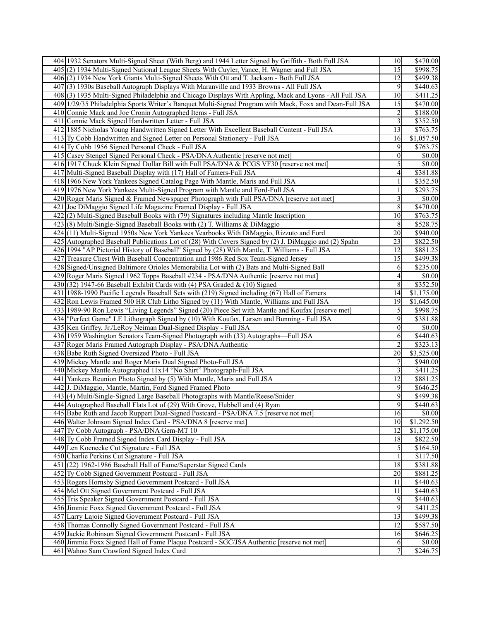| 404 1932 Senators Multi-Signed Sheet (With Berg) and 1944 Letter Signed by Griffith - Both Full JSA     | 10               | \$470.00   |
|---------------------------------------------------------------------------------------------------------|------------------|------------|
| 405 (2) 1934 Multi-Signed National League Sheets With Cuyler, Vance, H. Wagner and Full JSA             | 15               | 3998.75    |
| 406(2) 1934 New York Giants Multi-Signed Sheets With Ott and T. Jackson - Both Full JSA                 | 12               | \$499.38   |
| 407(3) 1930s Baseball Autograph Displays With Maranville and 1933 Browns - All Full JSA                 | 9                | \$440.63   |
| 408(3) 1935 Multi-Signed Philadelphia and Chicago Displays With Appling, Mack and Lyons - All Full JSA  | 10               | \$411.25   |
| 409 1/29/35 Philadelphia Sports Writer's Banquet Multi-Signed Program with Mack, Foxx and Dean-Full JSA | 15               | \$470.00   |
| 410 Connie Mack and Joe Cronin Autographed Items - Full JSA                                             | $\boldsymbol{2}$ | \$188.00   |
| 411 Connie Mack Signed Handwritten Letter - Full JSA                                                    | $\overline{3}$   | \$352.50   |
| 412 1885 Nicholas Young Handwritten Signed Letter With Excellent Baseball Content - Full JSA            | 13               | \$763.75   |
| 413 Ty Cobb Handwritten and Signed Letter on Personal Stationery - Full JSA                             | 16               | \$1,057.50 |
| 414 Ty Cobb 1956 Signed Personal Check - Full JSA                                                       | 9                | \$763.75   |
| 415 Casey Stengel Signed Personal Check - PSA/DNA Authentic [reserve not met]                           | $\mathbf{0}$     | \$0.00     |
| 416 1917 Chuck Klein Signed Dollar Bill with Full PSA/DNA & PCGS VF30 [reserve not met]                 | 5                | \$0.00     |
| 417 Multi-Signed Baseball Display with (17) Hall of Famers-Full JSA                                     | 4                | \$381.88   |
| 418 1966 New York Yankees Signed Catalog Page With Mantle, Maris and Full JSA                           | 1                | \$352.50   |
| 419 1976 New York Yankees Multi-Signed Program with Mantle and Ford-Full JSA                            | 1                | \$293.75   |
| 420 Roger Maris Signed & Framed Newspaper Photograph with Full PSA/DNA [reserve not met]                | 3                | \$0.00     |
| 421 Joe DiMaggio Signed Life Magazine Framed Display - Full JSA                                         | $\,8\,$          | \$470.00   |
| 422(2) Multi-Signed Baseball Books with (79) Signatures including Mantle Inscription                    | $\overline{10}$  | \$763.75   |
| 423(8) Multi/Single-Signed Baseball Books with (2) T. Williams & DiMaggio                               | 8                | \$528.75   |
| 424 (11) Multi-Signed 1950s New York Yankees Yearbooks With DiMaggio, Rizzuto and Ford                  | 20               | \$940.00   |
| 425 Autographed Baseball Publications Lot of (28) With Covers Signed by (2) J. DiMaggio and (2) Spahn   | 23               | \$822.50   |
| 426 1994 "AP Pictorial History of Baseball" Signed by (28) With Mantle, T. Williams - Full JSA          | 12               | \$881.25   |
| 427 Treasure Chest With Baseball Concentration and 1986 Red Sox Team-Signed Jersey                      | 15               | \$499.38   |
| 428 Signed/Unsigned Baltimore Orioles Memorabilia Lot with (2) Bats and Multi-Signed Ball               | 6                | \$235.00   |
| 429 Roger Maris Signed 1962 Topps Baseball #234 - PSA/DNA Authentic [reserve not met]                   | $\vert 4 \vert$  | \$0.00     |
| 430 $(32)$ 1947-66 Baseball Exhibit Cards with (4) PSA Graded & (10) Signed                             | $\overline{8}$   | \$352.50   |
|                                                                                                         | 14               | \$1,175.00 |
| 431 1988-1990 Pacific Legends Baseball Sets with (219) Signed including (67) Hall of Famers             |                  |            |
| 432 Ron Lewis Framed 500 HR Club Litho Signed by (11) With Mantle, Williams and Full JSA                | 19               | \$1,645.00 |
| 433 1989-90 Ron Lewis "Living Legends" Signed (20) Piece Set with Mantle and Koufax [reserve met]       | 5                | \$998.75   |
| 434 "Perfect Game" LE Lithograph Signed by (10) With Koufax, Larsen and Bunning - Full JSA              | 9                | \$381.88   |
| 435 Ken Griffey, Jr./LeRoy Neiman Dual-Signed Display - Full JSA                                        | $\overline{0}$   | \$0.00     |
| 436 1959 Washington Senators Team-Signed Photograph with (33) Autographs-Full JSA                       | 6                | \$440.63   |
| 437 Roger Maris Framed Autograph Display - PSA/DNA Authentic                                            | 2                | \$323.13   |
| 438 Babe Ruth Signed Oversized Photo - Full JSA                                                         | 20               | \$3,525.00 |
| 439 Mickey Mantle and Roger Maris Dual Signed Photo-Full JSA                                            | 7                | \$940.00   |
| 440 Mickey Mantle Autographed 11x14 "No Shirt" Photograph-Full JSA                                      | 3                | \$411.25   |
| 441 Yankees Reunion Photo Signed by (5) With Mantle, Maris and Full JSA                                 | 12               | \$881.25   |
| 442 J. DiMaggio, Mantle, Martin, Ford Signed Framed Photo                                               | 9                | \$646.25   |
| 443(4) Multi/Single-Signed Large Baseball Photographs with Mantle/Reese/Snider                          | 9                | \$499.38   |
| 444 Autographed Baseball Flats Lot of (29) With Grove, Hubbell and (4) Ryan                             | 9                | \$440.63   |
| 445 Babe Ruth and Jacob Ruppert Dual-Signed Postcard - PSA/DNA 7.5 [reserve not met]                    | 16               | \$0.00     |
| 446 Walter Johnson Signed Index Card - PSA/DNA 8 [reserve met]                                          | 10               | \$1,292.50 |
| 447 Ty Cobb Autograph - PSA/DNA Gem-MT 10                                                               | 12               | \$1,175.00 |
| 448 Ty Cobb Framed Signed Index Card Display - Full JSA                                                 | 18               | \$822.50   |
| 449 Len Koenecke Cut Signature - Full JSA                                                               | 5                | \$164.50   |
| 450 Charlie Perkins Cut Signature - Full JSA                                                            |                  | \$117.50   |
| 451 (22) 1962-1986 Baseball Hall of Fame/Superstar Signed Cards                                         | 18               | \$381.88   |
| 452 Ty Cobb Signed Government Postcard - Full JSA                                                       | 20               | \$881.25   |
| 453 Rogers Hornsby Signed Government Postcard - Full JSA                                                | 11               | \$440.63   |
| 454 Mel Ott Signed Government Postcard - Full JSA                                                       | 11               | \$440.63   |
| 455 Tris Speaker Signed Government Postcard - Full JSA                                                  | 9                | \$440.63   |
| 456 Jimmie Foxx Signed Government Postcard - Full JSA                                                   | 9                | \$411.25   |
| 457 Larry Lajoie Signed Government Postcard - Full JSA                                                  | 13               | \$499.38   |
| 458 Thomas Connolly Signed Government Postcard - Full JSA                                               | 12               | \$587.50   |
| 459 Jackie Robinson Signed Government Postcard - Full JSA                                               | 16               | \$646.25   |
| 460 Jimmie Foxx Signed Hall of Fame Plaque Postcard - SGC/JSA Authentic [reserve not met]               | 6                | \$0.00     |
| 461 Wahoo Sam Crawford Signed Index Card                                                                | 7                | \$246.75   |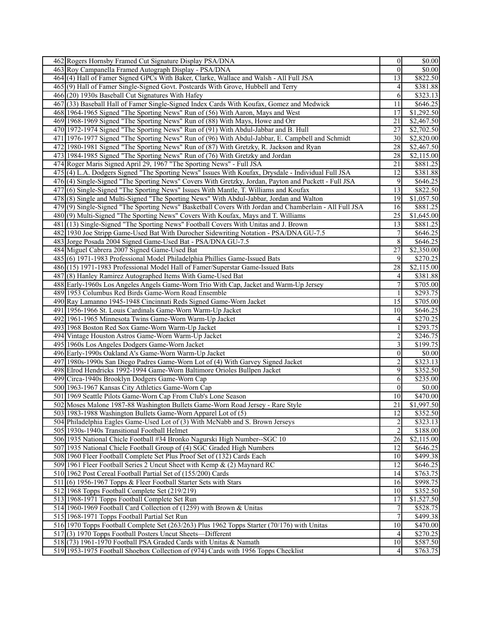| 462 Rogers Hornsby Framed Cut Signature Display PSA/DNA                                               | $\vert 0 \vert$  | $\sqrt{$0.00}$       |
|-------------------------------------------------------------------------------------------------------|------------------|----------------------|
| 463 Roy Campanella Framed Autograph Display - PSA/DNA                                                 | $\theta$         | \$0.00               |
| 464(4) Hall of Famer Signed GPCs With Baker, Clarke, Wallace and Walsh - All Full JSA                 | 13               | \$822.50             |
| 465(9) Hall of Famer Single-Signed Govt. Postcards With Grove, Hubbell and Terry                      | 4                | \$381.88             |
| 466(20) 1930s Baseball Cut Signatures With Hafey                                                      | 6                | \$323.13             |
| 467(33) Baseball Hall of Famer Single-Signed Index Cards With Koufax, Gomez and Medwick               | 11               | \$646.25             |
| 468 1964-1965 Signed "The Sporting News" Run of (56) With Aaron, Mays and West                        | 17               | \$1,292.50           |
| 469 1968-1969 Signed "The Sporting News" Run of (88) With Mays, Howe and Orr                          | 21               | \$2,467.50           |
| 470 1972-1974 Signed "The Sporting News" Run of (91) With Abdul-Jabbar and B. Hull                    | $\overline{27}$  | \$2,702.50           |
| 471 1976-1977 Signed "The Sporting News" Run of (96) With Abdul-Jabbar, E. Campbell and Schmidt       | 30 <sup>1</sup>  | \$2,820.00           |
| 472 1980-1981 Signed "The Sporting News" Run of (87) With Gretzky, R. Jackson and Ryan                | 28               | \$2,467.50           |
| 473 1984-1985 Signed "The Sporting News" Run of (76) With Gretzky and Jordan                          | 28               | \$2,115.00           |
| 474 Roger Maris Signed April 29, 1967 "The Sporting News" - Full JSA                                  | 21               | \$881.25             |
| 475 (4) L.A. Dodgers Signed "The Sporting News" Issues With Koufax, Drysdale - Individual Full JSA    | 12               | \$381.88             |
| 476(4) Single-Signed "The Sporting News" Covers With Gretzky, Jordan, Payton and Puckett - Full JSA   | 9                | \$646.25             |
| 477(6) Single-Signed "The Sporting News" Issues With Mantle, T. Williams and Koufax                   | 13               | \$822.50             |
| 478 (8) Single and Multi-Signed "The Sporting News" With Abdul-Jabbar, Jordan and Walton              | 19               | \$1,057.50           |
| 479(9) Single-Signed "The Sporting News" Basketball Covers With Jordan and Chamberlain - All Full JSA | 16               | \$881.25             |
| 480(9) Multi-Signed "The Sporting News" Covers With Koufax, Mays and T. Williams                      | 25               | \$1,645.00           |
| 481 (13) Single-Signed "The Sporting News" Football Covers With Unitas and J. Brown                   | 13               | \$881.25             |
| 482 1930 Joe Stripp Game-Used Bat With Durocher Sidewriting Notation - PSA/DNA GU-7.5                 | 7                | \$646.25             |
| 483 Jorge Posada 2004 Signed Game-Used Bat - PSA/DNA GU-7.5                                           | 8                | \$646.25             |
| 484 Miguel Cabrera 2007 Signed Game-Used Bat                                                          | 27               | \$2,350.00           |
| 485(6) 1971-1983 Professional Model Philadelphia Phillies Game-Issued Bats                            | 9                | \$270.25             |
| 486 (15) 1971-1983 Professional Model Hall of Famer/Superstar Game-Issued Bats                        | 28               | \$2,115.00           |
| 487(8) Hanley Ramirez Autographed Items With Game-Used Bat                                            | 4                | \$381.88             |
| 488 Early-1960s Los Angeles Angels Game-Worn Trio With Cap, Jacket and Warm-Up Jersey                 | $\boldsymbol{7}$ | \$705.00             |
| 489 1953 Columbus Red Birds Game-Worn Road Ensemble                                                   |                  | \$293.75             |
| 490 Ray Lamanno 1945-1948 Cincinnati Reds Signed Game-Worn Jacket                                     | 15               | \$705.00             |
| 491 1956-1966 St. Louis Cardinals Game-Worn Warm-Up Jacket                                            | 10               | \$646.25             |
| 492 1961-1965 Minnesota Twins Game-Worn Warm-Up Jacket                                                | 4                | \$270.25             |
| 493 1968 Boston Red Sox Game-Worn Warm-Up Jacket                                                      | 1                | \$293.75             |
| 494 Vintage Houston Astros Game-Worn Warm-Up Jacket                                                   | $\overline{c}$   | \$246.75             |
| 495 1960s Los Angeles Dodgers Game-Worn Jacket                                                        | 3                | $\overline{$199.75}$ |
| 496 Early-1990s Oakland A's Game-Worn Warm-Up Jacket                                                  | $\mathbf{0}$     | \$0.00               |
| 497 1980s-1990s San Diego Padres Game-Worn Lot of (4) With Garvey Signed Jacket                       | 2                | $\overline{$}323.13$ |
| 498 Elrod Hendricks 1992-1994 Game-Worn Baltimore Orioles Bullpen Jacket                              | 9                | \$352.50             |
| 499 Circa-1940s Brooklyn Dodgers Game-Worn Cap                                                        | 6                | \$235.00             |
| 500 1963-1967 Kansas City Athletics Game-Worn Cap                                                     | $\boldsymbol{0}$ | \$0.00               |
| 501 1969 Seattle Pilots Game-Worn Cap From Club's Lone Season                                         | 10               | \$470.00             |
| 502 Moses Malone 1987-88 Washington Bullets Game-Worn Road Jersey - Rare Style                        | 21               | \$1,997.50           |
| 503 1983-1988 Washington Bullets Game-Worn Apparel Lot of (5)                                         | $\overline{12}$  | \$352.50             |
| 504 Philadelphia Eagles Game-Used Lot of (3) With McNabb and S. Brown Jerseys                         | 2                | \$323.13             |
| 505 1930s-1940s Transitional Football Helmet                                                          | 2                | \$188.00             |
| 506 1935 National Chicle Football #34 Bronko Nagurski High Number--SGC 10                             | 26               | \$2,115.00           |
| 507 1935 National Chicle Football Group of (4) SGC Graded High Numbers                                | 12               | \$646.25             |
| 508 1960 Fleer Football Complete Set Plus Proof Set of (132) Cards Each                               | 10               | \$499.38             |
| 509 1961 Fleer Football Series 2 Uncut Sheet with Kemp & (2) Maynard RC                               | 12               | \$646.25             |
| 510 1962 Post Cereal Football Partial Set of (155/200) Cards                                          | 14               | \$763.75             |
| 511 (6) 1956-1967 Topps & Fleer Football Starter Sets with Stars                                      | 16               | \$998.75             |
| 512 1968 Topps Football Complete Set (219/219)                                                        | 10 <sup>1</sup>  | \$352.50             |
| 513 1968-1971 Topps Football Complete Set Run                                                         | 17               | \$1,527.50           |
| 514 1960-1969 Football Card Collection of (1259) with Brown & Unitas                                  | $\overline{7}$   | \$528.75             |
| 515 1968-1971 Topps Football Partial Set Run                                                          | $\overline{7}$   | \$499.38             |
| 516 1970 Topps Football Complete Set (263/263) Plus 1962 Topps Starter (70/176) with Unitas           | 10               | \$470.00]            |
| 517(3) 1970 Topps Football Posters Uncut Sheets—Different                                             | 4                | \$270.25             |
| 518(73) 1961-1970 Football PSA Graded Cards with Unitas & Namath                                      | 10               | \$587.50             |
| 519 1953-1975 Football Shoebox Collection of (974) Cards with 1956 Topps Checklist                    | 4                | \$763.75             |
|                                                                                                       |                  |                      |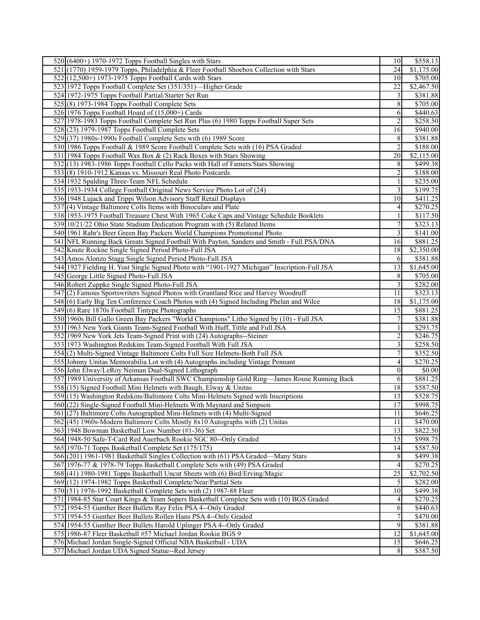| $520(6400+)$ 1970-1972 Topps Football Singles with Stars                                                                                                      | 10                      | \$558.13               |
|---------------------------------------------------------------------------------------------------------------------------------------------------------------|-------------------------|------------------------|
| 521 (1770) 1959-1979 Topps, Philadelphia & Fleer Football Shoebox Collection with Stars                                                                       | 24                      | \$1,175.00             |
| 522 (12,500+) 1973-1975 Topps Football Cards with Stars                                                                                                       | 10                      | \$705.00               |
| 523 1972 Topps Football Complete Set (351/351)—Higher Grade                                                                                                   | 22                      | \$2,467.50             |
| 524 1972-1975 Topps Football Partial/Starter Set Run                                                                                                          | $\overline{3}$          | \$381.88               |
| $525(8)$ 1973-1984 Topps Football Complete Sets                                                                                                               | 8                       | \$705.00               |
| 526 1976 Topps Football Hoard of $(15,000+)$ Cards                                                                                                            | 6                       | \$440.63               |
| 527 1978-1983 Topps Football Complete Set Run Plus (6) 1980 Topps Football Super Sets                                                                         | $\overline{2}$          | \$258.50               |
| 528 (23) 1979-1987 Topps Football Complete Sets                                                                                                               | 16                      | \$940.00               |
| 529(37) 1980s-1990s Football Complete Sets with (6) 1989 Score                                                                                                | 8                       | \$381.88               |
| 530 1986 Topps Football & 1989 Score Football Complete Sets with (16) PSA Graded                                                                              | $\overline{2}$          | \$188.00               |
| 531 1984 Topps Football Wax Box & (2) Rack Boxes with Stars Showing                                                                                           | 20                      | \$2,115.00             |
| 532(13) 1983-1986 Topps Football Cello Packs with Hall of Famers/Stars Showing                                                                                | 8                       | \$499.38               |
| 533(8) 1910-1912 Kansas vs. Missouri Real Photo Postcards                                                                                                     | $\overline{2}$          | \$188.00               |
| 534 1932 Spalding Three-Team NFL Schedule                                                                                                                     | $\mathbf{1}$            | \$235.00               |
| 535 1933-1934 College Football Original News Service Photo Lot of (24)                                                                                        | $\overline{3}$          | \$199.75               |
| 536 1948 Lujack and Trippi Wilson Advisory Staff Retail Displays                                                                                              | 10                      | \$411.25               |
| 537(4) Vintage Baltimore Colts Items with Binoculars and Plate                                                                                                | $\vert 4 \vert$         | \$270.25               |
| 538 1953-1975 Football Treasure Chest With 1965 Coke Caps and Vintage Schedule Booklets                                                                       | $\mathbf{1}$            | \$117.50               |
| 539 10/21/22 Ohio State Stadium Dedication Program with (5) Related Items                                                                                     | $\overline{7}$          | \$323.13               |
| 540 1961 Rahr's Beer Green Bay Packers World Champions Promotional Photo                                                                                      | $\overline{3}$          | \$141.00               |
| 541 NFL Running Back Greats Signed Football With Payton, Sanders and Smith - Full PSA/DNA                                                                     | 16                      | \$881.25               |
| 542 Knute Rockne Single Signed Period Photo-Full JSA                                                                                                          | 18                      | \$2,350.00             |
| 543 Amos Alonzo Stagg Single Signed Period Photo-Full JSA                                                                                                     | 6                       | \$381.88               |
| 544 1927 Fielding H. Yost Single Signed Photo with "1901-1927 Michigan" Inscription-Full JSA                                                                  | 13                      | \$1,645.00             |
| 545 George Little Signed Photo-Full JSA                                                                                                                       | 8                       | \$705.00               |
| 546 Robert Zuppke Single Signed Photo-Full JSA                                                                                                                | $\overline{3}$          | \$282.00               |
| 547 (2) Famous Sportswriters Signed Photos with Grantland Rice and Harvey Woodruff                                                                            | 11                      | \$323.13               |
| 548(6) Early Big Ten Conference Coach Photos with (4) Signed Including Phelan and Wilce                                                                       | 18                      | \$1,175.00             |
| 549(6) Rare 1870s Football Tintype Photographs                                                                                                                | 15                      | \$881.25               |
| 550 1960s Bill Gallo Green Bay Packers "World Champions" Litho Signed by (10) - Full JSA                                                                      | $\overline{7}$          | \$381.88               |
| 551 1963 New York Giants Team-Signed Football With Huff, Tittle and Full JSA                                                                                  | $\mathbf{1}$            | \$293.75               |
| 552 1969 New York Jets Team-Signed Print with (24) Autographs--Steiner                                                                                        | $\overline{2}$          | \$246.75               |
| 553 1973 Washington Redskins Team-Signed Football With Full JSA                                                                                               | $\overline{\mathbf{3}}$ | \$258.50               |
| 554(2) Multi-Signed Vintage Baltimore Colts Full Size Helmets-Both Full JSA                                                                                   | 7                       | \$352.50               |
| 555 Johnny Unitas Memorabilia Lot with (4) Autographs including Vintage Pennant                                                                               | $\vert 4 \vert$         | $\overline{$270.25}$   |
| 556 John Elway/LeRoy Neiman Dual-Signed Lithograph                                                                                                            | $\overline{0}$          | \$0.00                 |
| 557 1989 University of Arkansas Football SWC Championship Gold Ring—James Rouse Running Back                                                                  | 6                       | \$881.25               |
| 558 (15) Signed Football Mini Helmets with Baugh, Elway & Unitas                                                                                              | 18                      | \$587.50               |
| 559(15) Washington Redskins/Baltimore Colts Mini-Helmets Signed with Inscriptions                                                                             | 13                      | \$528.75               |
| 560(22) Single-Signed Football Mini-Helmets With Maynard and Simpson                                                                                          | 17                      | $\overline{$998.75}$   |
| 561 (27) Baltimore Colts Autographed Mini-Helmets with (4) Multi-Signed                                                                                       | 11                      | $\overline{$646.25}$   |
| 562 (45) 1960s-Modern Baltimore Colts Mostly 8x10 Autographs with (2) Unitas                                                                                  | 11                      | \$470.00               |
| 563 1948 Bowman Basketball Low Number (#1-36) Set                                                                                                             | 13                      | \$822.50               |
| 564 1948-50 Safe-T-Card Red Auerbach Rookie SGC 80--Only Graded                                                                                               | 15                      | $\overline{$998.75}$   |
| 565 1970-71 Topps Basketball Complete Set (175/175)                                                                                                           | 14                      | \$587.50               |
| 566 (201) 1961-1981 Basketball Singles Collection with (61) PSA Graded—Many Stars                                                                             |                         |                        |
|                                                                                                                                                               | 8 <sup>l</sup>          | \$499.38               |
| 567 1976-77 & 1978-79 Topps Basketball Complete Sets with (49) PSA Graded                                                                                     | $\vert$<br>25           | \$270.25<br>\$2,702.50 |
| 568(41) 1980-1981 Topps Basketball Uncut Sheets with (6) Bird/Erving/Magic                                                                                    | $\overline{5}$          | \$282.00               |
| 569(12) 1974-1982 Topps Basketball Complete/Near/Partial Sets                                                                                                 | 10 <sup>1</sup>         | \$499.38               |
| 570(51) 1976-1992 Basketball Complete Sets with (2) 1987-88 Fleer<br>571 1984-85 Star Court Kings & Team Supers Basketball Complete Sets with (10) BGS Graded |                         |                        |
|                                                                                                                                                               | 4 <sup>1</sup>          | \$270.25               |
| 572 1954-55 Gunther Beer Bullets Ray Felix PSA 4--Only Graded                                                                                                 | 6                       | \$440.63               |
| 573 1954-55 Gunther Beer Bullets Rollen Hans PSA 4--Only Graded                                                                                               | $\overline{7}$          | \$470.00               |
| 574 1954-55 Gunther Beer Bullets Harold Uplinger PSA 4--Only Graded                                                                                           | 9                       | \$381.88               |
| 575 1986-87 Fleer Basketball #57 Michael Jordan Rookie BGS 9                                                                                                  | 12                      | \$1,645.00             |
| 576 Michael Jordan Single-Signed Official NBA Basketball - UDA                                                                                                | 15                      | \$646.25               |
| 577 Michael Jordan UDA Signed Statue--Red Jersey                                                                                                              | 8 <sup>l</sup>          | \$587.50               |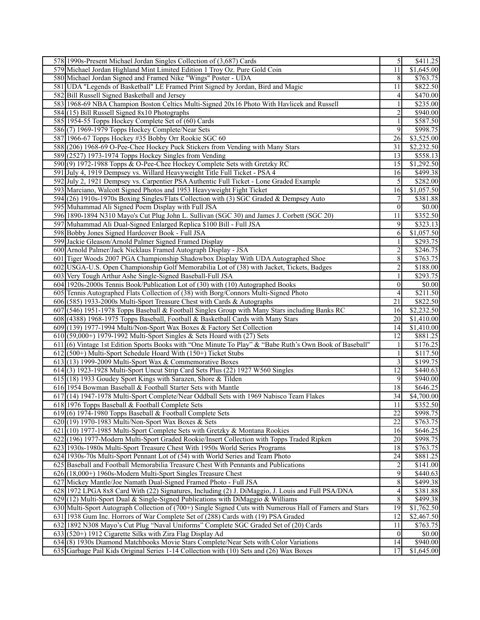| 578 1990s-Present Michael Jordan Singles Collection of (3,687) Cards                                                                                                             | $\overline{5}$   | $\overline{$411.25}$   |
|----------------------------------------------------------------------------------------------------------------------------------------------------------------------------------|------------------|------------------------|
| 579 Michael Jordan Highland Mint Limited Edition 1 Troy Oz. Pure Gold Coin                                                                                                       | $\overline{11}$  | \$1,645.00             |
| 580 Michael Jordan Signed and Framed Nike "Wings" Poster - UDA                                                                                                                   | 8 <sup>l</sup>   | \$763.75               |
| 581 UDA "Legends of Basketball" LE Framed Print Signed by Jordan, Bird and Magic                                                                                                 | 11               | \$822.50               |
| 582 Bill Russell Signed Basketball and Jersey                                                                                                                                    | $\vert 4 \vert$  | \$470.00               |
| 583 1968-69 NBA Champion Boston Celtics Multi-Signed 20x16 Photo With Havlicek and Russell                                                                                       | $\mathbf{1}$     | \$235.00               |
| $584(15)$ Bill Russell Signed 8x10 Photographs                                                                                                                                   | $\overline{2}$   | \$940.00               |
| 585 1954-55 Topps Hockey Complete Set of (60) Cards                                                                                                                              | $\mathbf{1}$     | \$587.50               |
| 586(7) 1969-1979 Topps Hockey Complete/Near Sets                                                                                                                                 | 9                | \$998.75               |
| 587 1966-67 Topps Hockey #35 Bobby Orr Rookie SGC 60                                                                                                                             | 26               | \$3,525.00             |
| 588 (206) 1968-69 O-Pee-Chee Hockey Puck Stickers from Vending with Many Stars                                                                                                   | 31               | \$2,232.50             |
| 589 (2527) 1973-1974 Topps Hockey Singles from Vending                                                                                                                           | 13               | \$558.13               |
| 590(9) 1972-1988 Topps & O-Pee-Chee Hockey Complete Sets with Gretzky RC                                                                                                         | 15               | \$1,292.50             |
| 591 July 4, 1919 Dempsey vs. Willard Heavyweight Title Full Ticket - PSA 4                                                                                                       | 16               | \$499.38               |
| 592 July 2, 1921 Dempsey vs. Carpentier PSA Authentic Full Ticket - Lone Graded Example                                                                                          | 5 <sub>l</sub>   | \$282.00               |
| 593 Marciano, Walcott Signed Photos and 1953 Heavyweight Fight Ticket                                                                                                            | 16               | \$1,057.50             |
| 594 (26) 1910s-1970s Boxing Singles/Flats Collection with (3) SGC Graded & Dempsey Auto                                                                                          | 7                | \$381.88               |
| 595 Muhammad Ali Signed Poem Display with Full JSA                                                                                                                               | $\vert 0 \vert$  | \$0.00                 |
| 596 1890-1894 N310 Mayo's Cut Plug John L. Sullivan (SGC 30) and James J. Corbett (SGC 20)                                                                                       | $\overline{11}$  | \$352.50               |
| 597 Muhammad Ali Dual-Signed Enlarged Replica \$100 Bill - Full JSA                                                                                                              | 9                | \$323.13               |
| 598 Bobby Jones Signed Hardcover Book - Full JSA                                                                                                                                 | 6                | \$1,057.50             |
| 599 Jackie Gleason/Arnold Palmer Signed Framed Display                                                                                                                           | 1                | \$293.75               |
| 600 Arnold Palmer/Jack Nicklaus Framed Autograph Display - JSA                                                                                                                   | $\boldsymbol{2}$ | \$246.75               |
| 601 Tiger Woods 2007 PGA Championship Shadowbox Display With UDA Autographed Shoe                                                                                                | 8                | \$763.75               |
| 602 USGA-U.S. Open Championship Golf Memorabilia Lot of (38) with Jacket, Tickets, Badges                                                                                        | $\overline{2}$   | \$188.00               |
| 603 Very Tough Arthur Ashe Single-Signed Baseball-Full JSA                                                                                                                       | $\mathbf{1}$     | \$293.75               |
| 604 1920s-2000s Tennis Book/Publication Lot of (30) with (10) Autographed Books                                                                                                  | $\vert 0 \vert$  | $\overline{50.00}$     |
| 605 Tennis Autographed Flats Collection of (38) with Borg/Connors Multi-Signed Photo                                                                                             | $\vert 4 \vert$  | \$211.50               |
| 606 (585) 1933-2000s Multi-Sport Treasure Chest with Cards & Autographs                                                                                                          | $\overline{21}$  | \$822.50               |
| 607 (546) 1951-1978 Topps Baseball & Football Singles Group with Many Stars including Banks RC                                                                                   | 16               | \$2,232.50             |
| 608 (4388) 1968-1975 Topps Baseball, Football & Basketball Cards with Many Stars                                                                                                 | 20               | \$1,410.00             |
| 609(139) 1977-1994 Multi/Non-Sport Wax Boxes & Factory Set Collection                                                                                                            | 14               | \$1,410.00             |
| 610(59,000+) 1979-1992 Multi-Sport Singles & Sets Hoard with (27) Sets                                                                                                           | 12               | \$881.25               |
| 611 (6) Vintage 1st Edition Sports Books with "One Minute To Play" & "Babe Ruth's Own Book of Baseball"                                                                          | 1                | \$176.25               |
| $612$ (500+) Multi-Sport Schedule Hoard With (150+) Ticket Stubs                                                                                                                 | $\mathbf{1}$     | \$117.50               |
| $613(13)$ 1999-2009 Multi-Sport Wax & Commemorative Boxes                                                                                                                        | $\overline{3}$   | \$199.75               |
| 614(3) 1923-1928 Multi-Sport Uncut Strip Card Sets Plus (22) 1927 W560 Singles                                                                                                   | $\overline{12}$  | \$440.63               |
| $615(18)$ 1933 Goudey Sport Kings with Sarazen, Shore & Tilden                                                                                                                   | 9                | \$940.00               |
| 616 1954 Bowman Baseball & Football Starter Sets with Mantle                                                                                                                     | 18               | \$646.25               |
| 617 (14) 1947-1978 Multi-Sport Complete/Near Oddball Sets with 1969 Nabisco Team Flakes                                                                                          | 34               | \$4,700.00             |
| 618 1976 Topps Baseball & Football Complete Sets                                                                                                                                 | 11               | \$352.50               |
| $619(6)$ 1974-1980 Topps Baseball & Football Complete Sets                                                                                                                       | 22               | \$998.75               |
| 620(19) 1970-1983 Multi/Non-Sport Wax Boxes & Sets                                                                                                                               | 22               | \$763.75               |
| 621 (10) 1977-1985 Multi-Sport Complete Sets with Gretzky & Montana Rookies                                                                                                      | 16               | \$646.25               |
| 622 (196) 1977-Modern Multi-Sport Graded Rookie/Insert Collection with Topps Traded Ripken                                                                                       | 20               | \$998.75               |
| 623 1930s-1980s Multi-Sport Treasure Chest With 1950s World Series Programs                                                                                                      | 18               | \$763.75               |
| 624 1930s-70s Multi-Sport Pennant Lot of (54) with World Series and Team Photo                                                                                                   | 24               | \$881.25               |
| 625 Baseball and Football Memorabilia Treasure Chest With Pennants and Publications                                                                                              | $\overline{2}$   | \$141.00               |
| 626(18,000+) 1960s-Modern Multi-Sport Singles Treasure Chest                                                                                                                     | $\overline{9}$   | \$440.63               |
| 627 Mickey Mantle/Joe Namath Dual-Signed Framed Photo - Full JSA                                                                                                                 | 8                | \$499.38               |
| 628 1972 LPGA 8x8 Card With (22) Signatures, Including (2) J. DiMaggio, J. Louis and Full PSA/DNA                                                                                | $\vert$          | \$381.88               |
|                                                                                                                                                                                  |                  |                        |
|                                                                                                                                                                                  |                  |                        |
| $629$ (12) Multi-Sport Dual & Single-Signed Publications with DiMaggio & Williams                                                                                                | $\,8$            | \$499.38               |
| 630 Multi-Sport Autograph Collection of (700+) Single Signed Cuts with Numerous Hall of Famers and Stars                                                                         | 19               | \$1,762.50             |
| 631 1938 Gum Inc. Horrors of War Complete Set of (288) Cards with (19) PSA Graded                                                                                                | 12               | \$2,467.50             |
| 632 1892 N308 Mayo's Cut Plug "Naval Uniforms" Complete SGC Graded Set of (20) Cards                                                                                             | 11               | \$763.75               |
| 633 (520+) 1912 Cigarette Silks with Zira Flag Display Ad                                                                                                                        | $\vert 0 \vert$  | \$0.00                 |
| 634 (8) 1930s Diamond Matchbooks Movie Stars Complete/Near Sets with Color Variations<br>635 Garbage Pail Kids Original Series 1-14 Collection with (10) Sets and (26) Wax Boxes | 14<br>17         | \$940.00<br>\$1,645.00 |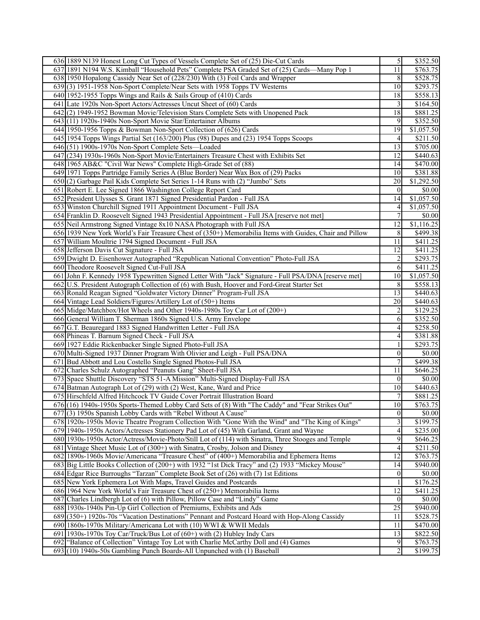| 636 1889 N139 Honest Long Cut Types of Vessels Complete Set of (25) Die-Cut Cards                                                           | $\overline{5}$          | \$352.50             |
|---------------------------------------------------------------------------------------------------------------------------------------------|-------------------------|----------------------|
| 637 1891 N194 W.S. Kimball "Household Pets" Complete PSA Graded Set of (25) Cards—Many Pop 1                                                | 11                      | \$763.75             |
| 638 1950 Hopalong Cassidy Near Set of (228/230) With (3) Foil Cards and Wrapper                                                             | $\,8\,$                 | \$528.75             |
| 639(3) 1951-1958 Non-Sport Complete/Near Sets with 1958 Topps TV Westerns                                                                   | 10                      | \$293.75             |
| 640 1952-1955 Topps Wings and Rails & Sails Group of (410) Cards                                                                            | 18                      | \$558.13             |
| 641 Late 1920s Non-Sport Actors/Actresses Uncut Sheet of (60) Cards                                                                         | 3                       | \$164.50             |
| 642(2) 1949-1952 Bowman Movie/Television Stars Complete Sets with Unopened Pack                                                             | 18                      | \$881.25             |
| 643(11) 1920s-1940s Non-Sport Movie Star/Entertainer Albums                                                                                 | 9                       | \$352.50             |
| 644 1950-1956 Topps & Bowman Non-Sport Collection of (626) Cards                                                                            | 19                      | \$1,057.50           |
| 645 1954 Topps Wings Partial Set (163/200) Plus (98) Dupes and (23) 1954 Topps Scoops                                                       | $\overline{4}$          | \$211.50             |
| 646(51) 1900s-1970s Non-Sport Complete Sets—Loaded                                                                                          | 13                      | \$705.00             |
| 647 (234) 1930s-1960s Non-Sport Movie/Entertainers Treasure Chest with Exhibits Set                                                         | $\overline{12}$         | \$440.63             |
| 648 1965 AB&C "Civil War News" Complete High-Grade Set of (88)                                                                              | 14                      | \$470.00             |
| 649 1971 Topps Partridge Family Series A (Blue Border) Near Wax Box of (29) Packs                                                           | 10                      | \$381.88             |
| 650(2) Garbage Pail Kids Complete Set Series 1-14 Runs with (2) "Jumbo" Sets                                                                | 20                      | \$1,292.50           |
| 651 Robert E. Lee Signed 1866 Washington College Report Card                                                                                | $\Omega$                | \$0.00               |
| 652 President Ulysses S. Grant 1871 Signed Presidential Pardon - Full JSA                                                                   | 14                      | \$1,057.50           |
| 653 Winston Churchill Signed 1911 Appointment Document - Full JSA                                                                           | $\vert 4 \vert$         | \$1,057.50           |
| 654 Franklin D. Roosevelt Signed 1943 Presidential Appointment - Full JSA [reserve not met]                                                 | $\overline{7}$          | $\sqrt{$0.00}$       |
| 655 Neil Armstrong Signed Vintage 8x10 NASA Photograph with Full JSA                                                                        | 12                      | \$1,116.25           |
| 656 1939 New York World's Fair Treasure Chest of (350+) Memorabilia Items with Guides, Chair and Pillow                                     | 8                       | $\overline{$499.38}$ |
| 657 William Moultrie 1794 Signed Document - Full JSA                                                                                        | 11                      | \$411.25             |
| 658 Jefferson Davis Cut Signature - Full JSA                                                                                                | 12                      | $\overline{$}411.25$ |
| 659 Dwight D. Eisenhower Autographed "Republican National Convention" Photo-Full JSA                                                        | $\overline{\mathbf{c}}$ | \$293.75             |
| 660 Theodore Roosevelt Signed Cut-Full JSA                                                                                                  | $\overline{6}$          | \$411.25             |
| 661 John F. Kennedy 1958 Typewritten Signed Letter With "Jack" Signature - Full PSA/DNA [reserve met]                                       | 10                      | \$1,057.50           |
| 662 U.S. President Autograph Collection of (6) with Bush, Hoover and Ford-Great Starter Set                                                 | 8                       | \$558.13             |
| 663 Ronald Reagan Signed "Goldwater Victory Dinner" Program-Full JSA                                                                        | 13                      | \$440.63             |
| 664 Vintage Lead Soldiers/Figures/Artillery Lot of (50+) Items                                                                              | $\overline{20}$         | \$440.63             |
| 665 Midge/Matchbox/Hot Wheels and Other 1940s-1980s Toy Car Lot of (200+)<br>666 General William T. Sherman 1860s Signed U.S. Army Envelope | $\overline{c}$<br>6     | \$129.25<br>\$352.50 |
| 667 G.T. Beauregard 1883 Signed Handwritten Letter - Full JSA                                                                               | $\vert 4 \vert$         | \$258.50             |
| 668 Phineas T. Barnum Signed Check - Full JSA                                                                                               | 4                       | \$381.88             |
| 669 1927 Eddie Rickenbacker Single Signed Photo-Full JSA                                                                                    | 1                       | \$293.75             |
| 670 Multi-Signed 1937 Dinner Program With Olivier and Leigh - Full PSA/DNA                                                                  | $\vert 0 \vert$         | 0.00                 |
| 671 Bud Abbott and Lou Costello Single Signed Photos-Full JSA                                                                               | $\tau$                  | \$499.38             |
| 672 Charles Schulz Autographed "Peanuts Gang" Sheet-Full JSA                                                                                | 11                      | \$646.25             |
| 673 Space Shuttle Discovery "STS 51-A Mission" Multi-Signed Display-Full JSA                                                                | $\overline{0}$          | \$0.00               |
| 674 Batman Autograph Lot of (29) with (2) West, Kane, Ward and Price                                                                        | 10                      | \$440.63             |
| 675 Hirschfeld Alfred Hitchcock TV Guide Cover Portrait Illustration Board                                                                  | 7                       | \$881.25             |
| 676 (16) 1940s-1950s Sports-Themed Lobby Card Sets of (8) With "The Caddy" and "Fear Strikes Out"                                           | 10 <sup>1</sup>         | \$763.75             |
| 677(3) 1950s Spanish Lobby Cards with "Rebel Without A Cause"                                                                               | 0                       | \$0.00               |
| 678 1920s-1950s Movie Theatre Program Collection With "Gone With the Wind" and "The King of Kings"                                          | $\overline{3}$          | $\overline{$199.75}$ |
| 679 1940s-1950s Actors/Actresses Stationery Pad Lot of (45) With Garland, Grant and Wayne                                                   | $\vert 4 \vert$         | \$235.00             |
| 680 1930s-1950s Actor/Actress/Movie-Photo/Still Lot of (114) with Sinatra, Three Stooges and Temple                                         | 9                       | \$646.25             |
| 681 Vintage Sheet Music Lot of (300+) with Sinatra, Crosby, Jolson and Disney                                                               | 4                       | \$211.50             |
| 682 1890s-1960s Movie/Americana "Treasure Chest" of (400+) Memorabilia and Ephemera Items                                                   | $\overline{12}$         | \$763.75             |
| 683 Big Little Books Collection of (200+) with 1932 "1st Dick Tracy" and (2) 1933 "Mickey Mouse"                                            | 14                      | \$940.00             |
| 684 Edgar Rice Burroughs "Tarzan" Complete Book Set of (26) with (7) 1st Editions                                                           | $\overline{0}$          | \$0.00               |
| 685 New York Ephemera Lot With Maps, Travel Guides and Postcards                                                                            | $\mathbf{1}$            | \$176.25             |
| 686 1964 New York World's Fair Treasure Chest of (250+) Memorabilia Items                                                                   | 12                      | \$411.25             |
| 687 Charles Lindbergh Lot of (6) with Pillow, Pillow Case and "Lindy" Game                                                                  | $\overline{0}$          | $\overline{$}0.00$   |
| 688 1930s-1940s Pin-Up Girl Collection of Premiums, Exhibits and Ads                                                                        | $\overline{25}$         | \$940.00             |
| 689 (350+) 1920s-70s "Vacation Destinations" Pennant and Postcard Hoard with Hop-Along Cassidy                                              | 11                      | \$528.75             |
| 690 1860s-1970s Military/Americana Lot with (10) WWI & WWII Medals                                                                          | 11                      | \$470.00             |
| 691 1930s-1970s Toy Car/Truck/Bus Lot of (60+) with (2) Hubley Indy Cars                                                                    | 13                      | \$822.50             |
| 692 "Balance of Collection" Vintage Toy Lot with Charlie McCarthy Doll and (4) Games                                                        | 9<br>$\overline{2}$     | \$763.75             |
| 693(10) 1940s-50s Gambling Punch Boards-All Unpunched with (1) Baseball                                                                     |                         | \$199.75             |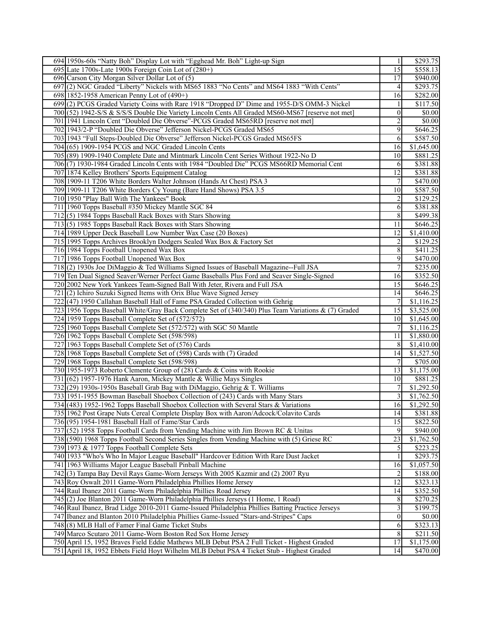| 694 1950s-60s "Natty Boh" Display Lot with "Egghead Mr. Boh" Light-up Sign                          |                         | \$293.75               |
|-----------------------------------------------------------------------------------------------------|-------------------------|------------------------|
| 695 Late 1700s-Late 1900s Foreign Coin Lot of $(280+)$                                              | $\overline{15}$         | \$558.13               |
| 696 Carson City Morgan Silver Dollar Lot of (5)                                                     | 17                      | \$940.00               |
| 697(2) NGC Graded "Liberty" Nickels with MS65 1883 "No Cents" and MS64 1883 "With Cents"            | $\vert$                 | \$293.75               |
| 698 1852-1958 American Penny Lot of (490+)                                                          | 16                      | \$282.00               |
| 699(2) PCGS Graded Variety Coins with Rare 1918 "Dropped D" Dime and 1955-D/S OMM-3 Nickel          | $\overline{1}$          | \$117.50               |
| 700(52) 1942-S/S & S/S/S Double Die Variety Lincoln Cents All Graded MS60-MS67 [reserve not met]    | $\vert 0 \vert$         | \$0.00                 |
| 701 1941 Lincoln Cent "Doubled Die Obverse"-PCGS Graded MS65RD [reserve not met]                    | $\overline{2}$          | $\overline{$}0.00$     |
| 702 1943/2-P "Doubled Die Obverse" Jefferson Nickel-PCGS Graded MS65                                | $\overline{9}$          | \$646.25               |
| 703 1943 "Full Steps-Doubled Die Obverse" Jefferson Nickel-PCGS Graded MS65FS                       | 6                       | \$587.50               |
| 704 (65) 1909-1954 PCGS and NGC Graded Lincoln Cents                                                | 16                      | $\overline{$1,645.00}$ |
| 705(89) 1909-1940 Complete Date and Mintmark Lincoln Cent Series Without 1922-No D                  | 10 <sup>1</sup>         | \$881.25               |
| 706(7) 1930-1984 Graded Lincoln Cents with 1984 "Doubled Die" PCGS MS66RD Memorial Cent             | 6                       | 3381.88                |
| 707 1874 Kelley Brothers' Sports Equipment Catalog                                                  | 12                      | \$381.88               |
| 708 1909-11 T206 White Borders Walter Johnson (Hands At Chest) PSA 3                                | $\overline{7}$          | \$470.00               |
| 709 1909-11 T206 White Borders Cy Young (Bare Hand Shows) PSA 3.5                                   | 10 <sup>1</sup>         | \$587.50               |
| 710 1950 "Play Ball With The Yankees" Book                                                          | $\overline{2}$          | \$129.25               |
| 711 1960 Topps Baseball #350 Mickey Mantle SGC 84                                                   | 6                       | \$381.88               |
| 712(5) 1984 Topps Baseball Rack Boxes with Stars Showing                                            | 8                       | \$499.38               |
| 713(5) 1985 Topps Baseball Rack Boxes with Stars Showing                                            | 11                      | \$646.25               |
| 714 1989 Upper Deck Baseball Low Number Wax Case (20 Boxes)                                         | 12                      | \$1,410.00             |
| 715 1995 Topps Archives Brooklyn Dodgers Sealed Wax Box & Factory Set                               | $\overline{2}$          | \$129.25               |
| 716 1984 Topps Football Unopened Wax Box                                                            | 8 <sup>l</sup>          | \$411.25               |
| 717 1986 Topps Football Unopened Wax Box                                                            | 9                       | \$470.00               |
| 718(2) 1930s Joe DiMaggio & Ted Williams Signed Issues of Baseball Magazine--Full JSA               | $7\phantom{.}$          | \$235.00               |
| 719 Ten Dual Signed Seaver/Werner Perfect Game Baseballs Plus Ford and Seaver Single-Signed         | 16                      | \$352.50               |
| 720 2002 New York Yankees Team-Signed Ball With Jeter, Rivera and Full JSA                          | 15                      | \$646.25               |
| $721(2)$ Ichiro Suzuki Signed Items with Orix Blue Wave Signed Jersey                               | 14                      | \$646.25               |
| 722(47) 1950 Callahan Baseball Hall of Fame PSA Graded Collection with Gehrig                       | 7                       | \$1,116.25             |
| 723 1956 Topps Baseball White/Gray Back Complete Set of (340/340) Plus Team Variations & (7) Graded | 15                      | \$3,525.00             |
| 724 1959 Topps Baseball Complete Set of (572/572)                                                   | 10                      | \$1,645.00             |
| 725 1960 Topps Baseball Complete Set (572/572) with SGC 50 Mantle                                   | $7 \frac{1}{2}$         | \$1,116.25             |
| 726 1962 Topps Baseball Complete Set (598/598)                                                      | 11                      | \$1,880.00             |
| 727 1963 Topps Baseball Complete Set of (576) Cards                                                 | 8 <sup>l</sup>          | \$1,410.00             |
| 728 1968 Topps Baseball Complete Set of (598) Cards with (7) Graded                                 | 14                      | \$1,527.50             |
| 729 1968 Topps Baseball Complete Set (598/598)                                                      | 7                       | \$705.00               |
| 730 1955-1973 Roberto Clemente Group of (28) Cards & Coins with Rookie                              | 13                      | \$1,175.00             |
| 731 (62) 1957-1976 Hank Aaron, Mickey Mantle & Willie Mays Singles                                  | 10                      | \$881.25               |
| 732(29) 1930s-1950s Baseball Grab Bag with DiMaggio, Gehrig & T. Williams                           | 7                       | \$1,292.50             |
| 733 1951-1955 Bowman Baseball Shoebox Collection of (243) Cards with Many Stars                     | $\overline{3}$          | \$1,762.50             |
| 734 (483) 1952-1962 Topps Baseball Shoebox Collection with Several Stars & Variations               | 16                      | \$1,292.50             |
| 735 1962 Post Grape Nuts Cereal Complete Display Box with Aaron/Adcock/Colavito Cards               | 14                      | \$381.88               |
| 736(95) 1954-1981 Baseball Hall of Fame/Star Cards                                                  | 15                      | \$822.50               |
| 737 (52) 1958 Topps Football Cards from Vending Machine with Jim Brown RC & Unitas                  | 9                       | \$940.00               |
| 738 (590) 1968 Topps Football Second Series Singles from Vending Machine with (5) Griese RC         | 23                      | \$1,762.50             |
| 739 1973 & 1977 Topps Football Complete Sets                                                        | $\mathfrak{S}$          | \$223.25               |
| 740 1933 "Who's Who In Major League Baseball" Hardcover Edition With Rare Dust Jacket               | $\left  \right $        | \$293.75               |
| 741 1963 Williams Major League Baseball Pinball Machine                                             | 16                      | \$1,057.50             |
| 742(3) Tampa Bay Devil Rays Game-Worn Jerseys With 2005 Kazmir and (2) 2007 Ryu                     | $\overline{2}$          | \$188.00               |
| 743 Roy Oswalt 2011 Game-Worn Philadelphia Phillies Home Jersey                                     | 12                      | \$323.13               |
| 744 Raul Ibanez 2011 Game-Worn Philadelphia Phillies Road Jersey                                    | 14                      | \$352.50               |
| 745(2) Joe Blanton 2011 Game-Worn Philadelphia Phillies Jerseys (1 Home, 1 Road)                    | 8                       | \$270.25               |
| 746 Raul Ibanez, Brad Lidge 2010-2011 Game-Issued Philadelphia Phillies Batting Practice Jerseys    | $\overline{\mathbf{3}}$ | \$199.75               |
| 747 Ibanez and Blanton 2010 Philadelphia Phillies Game-Issued "Stars-and-Stripes" Caps              | $\vert 0 \vert$         | $\overline{$}0.00$     |
| 748 (8) MLB Hall of Famer Final Game Ticket Stubs                                                   | 6                       | \$323.13               |
| 749 Marco Scutaro 2011 Game-Worn Boston Red Sox Home Jersey                                         | 8                       | \$211.50               |
| 750 April 15, 1952 Braves Field Eddie Mathews MLB Debut PSA 2 Full Ticket - Highest Graded          | 17                      | \$1,175.00             |
| 751 April 18, 1952 Ebbets Field Hoyt Wilhelm MLB Debut PSA 4 Ticket Stub - Highest Graded           | 14                      | \$470.00               |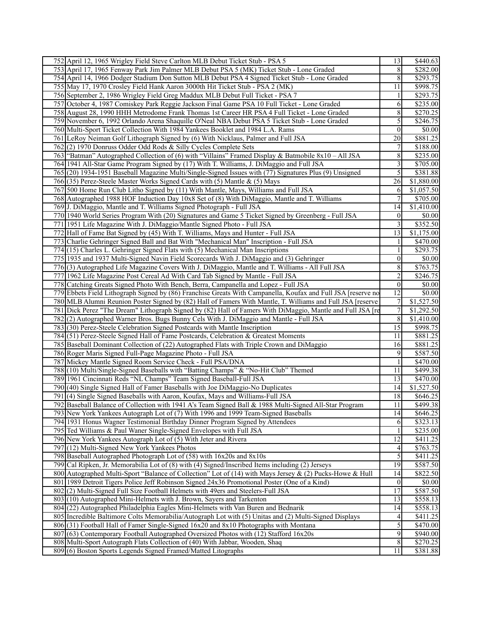|     | 752 April 12, 1965 Wrigley Field Steve Carlton MLB Debut Ticket Stub - PSA 5                                                                                                    | 13                    | \$440.63             |
|-----|---------------------------------------------------------------------------------------------------------------------------------------------------------------------------------|-----------------------|----------------------|
|     | 753 April 17, 1965 Fenway Park Jim Palmer MLB Debut PSA 5 (MK) Ticket Stub - Lone Graded                                                                                        | 8                     | \$282.00             |
|     | 754 April 14, 1966 Dodger Stadium Don Sutton MLB Debut PSA 4 Signed Ticket Stub - Lone Graded                                                                                   | $\boldsymbol{8}$      | \$293.75             |
|     | 755 May 17, 1970 Crosley Field Hank Aaron 3000th Hit Ticket Stub - PSA 2 (MK)                                                                                                   | 11                    | \$998.75             |
|     | 756 September 2, 1986 Wrigley Field Greg Maddux MLB Debut Full Ticket - PSA 7                                                                                                   | 1                     | \$293.75             |
|     | 757 October 4, 1987 Comiskey Park Reggie Jackson Final Game PSA 10 Full Ticket - Lone Graded                                                                                    | 6                     | \$235.00             |
|     | 758 August 28, 1990 HHH Metrodome Frank Thomas 1st Career HR PSA 4 Full Ticket - Lone Graded                                                                                    | $8\,$                 | $\overline{$270.25}$ |
|     | 759 November 6, 1992 Orlando Arena Shaquille O'Neal NBA Debut PSA 5 Ticket Stub - Lone Graded                                                                                   | $\mathfrak{S}$        | \$246.75             |
|     | 760 Multi-Sport Ticket Collection With 1984 Yankees Booklet and 1984 L.A. Rams                                                                                                  | $\vert 0 \vert$       | \$0.00               |
|     | 761 LeRoy Neiman Golf Lithograph Signed by (6) With Nicklaus, Palmer and Full JSA                                                                                               | 20                    | \$881.25             |
|     | 762(2) 1970 Donruss Odder Odd Rods & Silly Cycles Complete Sets                                                                                                                 | 7                     | \$188.00             |
|     | 763 "Batman" Autographed Collection of (6) with "Villains" Framed Display & Batmobile 8x10 - All JSA                                                                            | 8                     | \$235.00             |
|     | 764 1941 All-Star Game Program Signed by (17) With T. Williams, J. DiMaggio and Full JSA                                                                                        | $\overline{3}$        | \$705.00             |
|     | 765 (20) 1934-1951 Baseball Magazine Multi/Single-Signed Issues with (77) Signatures Plus (9) Unsigned                                                                          | 5 <sub>l</sub>        | \$381.88             |
|     | 766 (35) Perez-Steele Master Works Signed Cards with (5) Mantle & (5) Mays                                                                                                      | 26                    | \$1,880.00           |
|     | 767 500 Home Run Club Litho Signed by (11) With Mantle, Mays, Williams and Full JSA                                                                                             | 6                     | \$1,057.50           |
|     | 768 Autographed 1988 HOF Induction Day 10x8 Set of (8) With DiMaggio, Mantle and T. Williams                                                                                    | 7                     | \$705.00             |
|     | 769 J. DiMaggio, Mantle and T. Williams Signed Photograph - Full JSA                                                                                                            | 14                    | \$1,410.00           |
|     | 770 1940 World Series Program With (20) Signatures and Game 5 Ticket Signed by Greenberg - Full JSA                                                                             | $\vert 0 \vert$       | \$0.00               |
|     | 771 1951 Life Magazine With J. DiMaggio/Mantle Signed Photo - Full JSA                                                                                                          | $\overline{3}$        | \$352.50             |
|     | 772 Hall of Fame Bat Signed by (45) With T. Williams, Mays and Hunter - Full JSA                                                                                                | 13                    | \$1,175.00           |
|     | 773 Charlie Gehringer Signed Ball and Bat With "Mechanical Man" Inscription - Full JSA                                                                                          | 1                     | $\overline{$470.00}$ |
|     | 774 (15) Charles L. Gehringer Signed Flats with (5) Mechanical Man Inscriptions                                                                                                 | 1                     | \$293.75             |
|     | 775 1935 and 1937 Multi-Signed Navin Field Scorecards With J. DiMaggio and (3) Gehringer                                                                                        | 0                     | \$0.00               |
|     | 776(3) Autographed Life Magazine Covers With J. DiMaggio, Mantle and T. Williams - All Full JSA                                                                                 | $8\,$                 | \$763.75             |
|     | 777 1962 Life Magazine Post Cereal Ad With Card Tab Signed by Mantle - Full JSA                                                                                                 | $\overline{2}$        | \$246.75             |
|     | 778 Catching Greats Signed Photo With Bench, Berra, Campanella and Lopez - Full JSA                                                                                             | $\vert 0 \vert$       | $\overline{$0.00}$   |
|     | 779 Ebbets Field Lithograph Signed by (86) Franchise Greats With Campanella, Koufax and Full JSA [reserve no                                                                    | 12                    | \$0.00               |
|     | 780 MLB Alumni Reunion Poster Signed by (82) Hall of Famers With Mantle, T. Williams and Full JSA [reserve                                                                      | 7                     | \$1,527.50           |
|     | 781 Dick Perez "The Dream" Lithograph Signed by (82) Hall of Famers With DiMaggio, Mantle and Full JSA [re                                                                      | $\overline{7}$        | \$1,292.50           |
|     | 782(2) Autographed Warner Bros. Bugs Bunny Cels With J. DiMaggio and Mantle - Full JSA                                                                                          | 8                     | \$1,410.00           |
|     | 783(30) Perez-Steele Celebration Signed Postcards with Mantle Inscription                                                                                                       | 15                    | \$998.75             |
|     | 784 (51) Perez-Steele Signed Hall of Fame Postcards, Celebration & Greatest Moments                                                                                             | 11                    | \$881.25             |
|     | 785 Baseball Dominant Collection of (22) Autographed Flats with Triple Crown and DiMaggio                                                                                       | 16                    | $\overline{$881.25}$ |
|     | 786 Roger Maris Signed Full-Page Magazine Photo - Full JSA                                                                                                                      | 9                     | \$587.50             |
|     | 787 Mickey Mantle Signed Room Service Check - Full PSA/DNA                                                                                                                      | 1                     | $\overline{$470.00}$ |
|     | 788(10) Multi/Single-Signed Baseballs with "Batting Champs" & "No-Hit Club" Themed                                                                                              | 11                    | \$499.38             |
|     | 789 1961 Cincinnati Reds "NL Champs" Team Signed Baseball-Full JSA                                                                                                              | 13                    | \$470.00             |
|     | 790(40) Single Signed Hall of Famer Baseballs with Joe DiMaggio-No Duplicates                                                                                                   | 14                    | \$1,527.50           |
| 791 | (4) Single Signed Baseballs with Aaron, Koufax, Mays and Williams-Full JSA                                                                                                      | 18                    | \$646.25             |
|     | 792 Baseball Balance of Collection with 1941 A's Team Signed Ball & 1988 Multi-Signed All-Star Program                                                                          | 11                    | \$499.38             |
|     | 793 New York Yankees Autograph Lot of (7) With 1996 and 1999 Team-Signed Baseballs                                                                                              | 14                    | \$646.25             |
|     | 794 1931 Honus Wagner Testimonial Birthday Dinner Program Signed by Attendees                                                                                                   | 6                     | \$323.13             |
|     | 795 Ted Williams & Paul Waner Single-Signed Envelopes with Full JSA                                                                                                             | $\mathbf{1}$          | \$235.00             |
|     | 796 New York Yankees Autograph Lot of (5) With Jeter and Rivera                                                                                                                 | 12                    | \$411.25             |
|     | 797 (12) Multi-Signed New York Yankees Photos                                                                                                                                   | $\vert 4 \vert$       | \$763.75             |
|     | 798 Baseball Autographed Photograph Lot of (58) with 16x20s and 8x10s                                                                                                           | $\overline{5}$        | \$411.25             |
|     | 799 [Cal Ripken, Jr. Memorabilia Lot of (8) with (4) Signed/Inscribed Items including (2) Jerseys                                                                               | 19                    | \$587.50             |
|     | 800 Autographed Multi-Sport "Balance of Collection" Lot of (14) with Mays Jersey & (2) Pucks-Howe & Hull                                                                        | 14                    | \$822.50             |
|     | 801 1989 Detroit Tigers Police Jeff Robinson Signed 24x36 Promotional Poster (One of a Kind)<br>802(2) Multi-Signed Full Size Football Helmets with 49ers and Steelers-Full JSA | $\vert 0 \vert$<br>17 | \$0.00<br>\$587.50   |
|     | 803(10) Autographed Mini-Helmets with J. Brown, Sayers and Tarkenton                                                                                                            | 13                    | \$558.13             |
|     | 804 (22) Autographed Philadelphia Eagles Mini-Helmets with Van Buren and Bednarik                                                                                               | 14                    | \$558.13             |
|     | 805 Incredible Baltimore Colts Memorabilia/Autograph Lot with (5) Unitas and (2) Multi-Signed Displays                                                                          | $\vert 4 \vert$       | \$411.25             |
|     | 806 (31) Football Hall of Famer Single-Signed 16x20 and 8x10 Photographs with Montana                                                                                           | $\mathfrak{S}$        | \$470.00             |
|     | 807 (63) Contemporary Football Autographed Oversized Photos with (12) Stafford 16x20s                                                                                           | $\overline{9}$        | \$940.00             |
|     | 808 Multi-Sport Autograph Flats Collection of (40) With Jabbar, Wooden, Shaq                                                                                                    | $\,8$                 | \$270.25             |
|     | 809(6) Boston Sports Legends Signed Framed/Matted Litographs                                                                                                                    | 11                    | \$381.88             |
|     |                                                                                                                                                                                 |                       |                      |